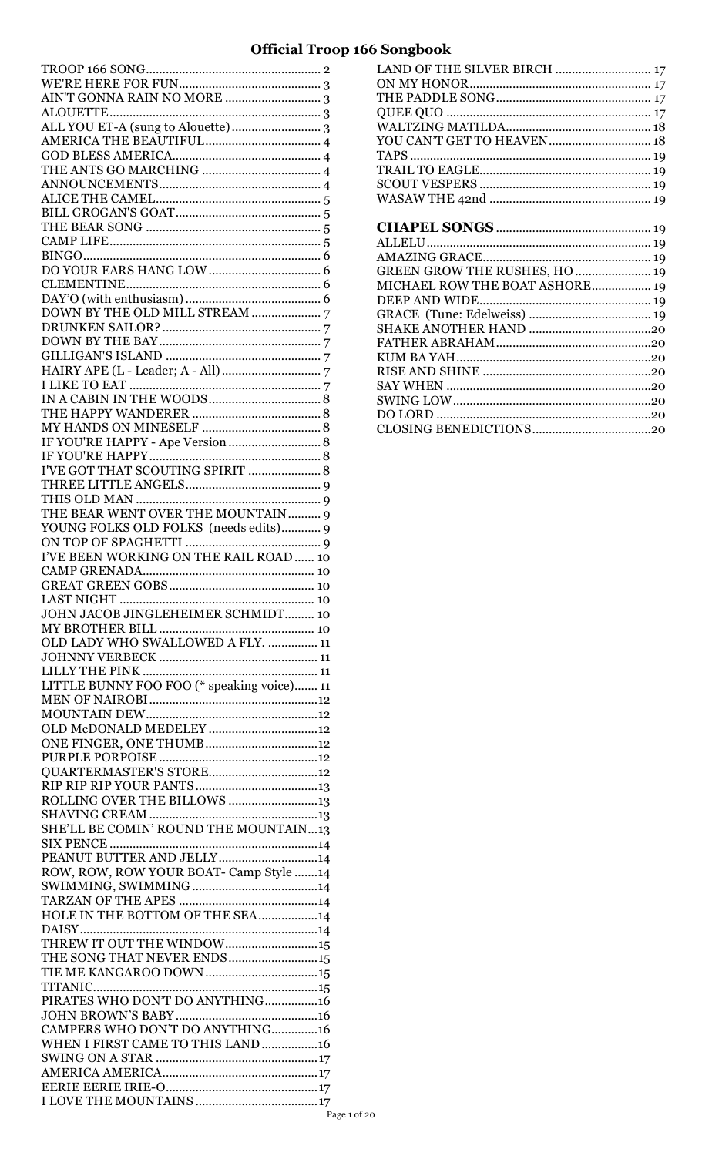| THE BEAR WENT OVER THE MOUNTAIN 9          |
|--------------------------------------------|
| YOUNG FOLKS OLD FOLKS (needs edits) 9      |
|                                            |
| I'VE BEEN WORKING ON THE RAIL ROAD  10     |
|                                            |
|                                            |
|                                            |
|                                            |
| JOHN JACOB JINGLEHEIMER SCHMIDT 10         |
|                                            |
| OLD LADY WHO SWALLOWED A FLY.  11          |
|                                            |
|                                            |
| LITTLE BUNNY FOO FOO (* speaking voice) 11 |
|                                            |
| OLD McDONALD MEDELEY 12                    |
| ONE FINGER, ONE THUMB12                    |
|                                            |
| QUARTERMASTER'S STORE12                    |
|                                            |
| ROLLING OVER THE BILLOWS 13                |
|                                            |
|                                            |
|                                            |
| PEANUT BUTTER AND JELLY14                  |
| ROW, ROW, ROW YOUR BOAT- Camp Style 14     |
|                                            |
| HOLE IN THE BOTTOM OF THE SEA14            |
|                                            |
|                                            |
| THE SONG THAT NEVER ENDS15                 |
| TIE ME KANGAROO DOWN 15                    |
|                                            |
|                                            |
| CAMPERS WHO DON'T DO ANYTHING16            |
| WHEN I FIRST CAME TO THIS LAND 16          |
|                                            |
|                                            |
|                                            |

| LAND OF THE SILVER BIRCH  17   |
|--------------------------------|
|                                |
|                                |
|                                |
|                                |
| YOU CAN'T GET TO HEAVEN 18     |
|                                |
|                                |
|                                |
|                                |
|                                |
|                                |
|                                |
|                                |
| GREEN GROW THE RUSHES, HO  19  |
| MICHAEL ROW THE BOAT ASHORE 19 |
|                                |
|                                |
|                                |
|                                |
|                                |
|                                |
|                                |
|                                |
|                                |
|                                |
|                                |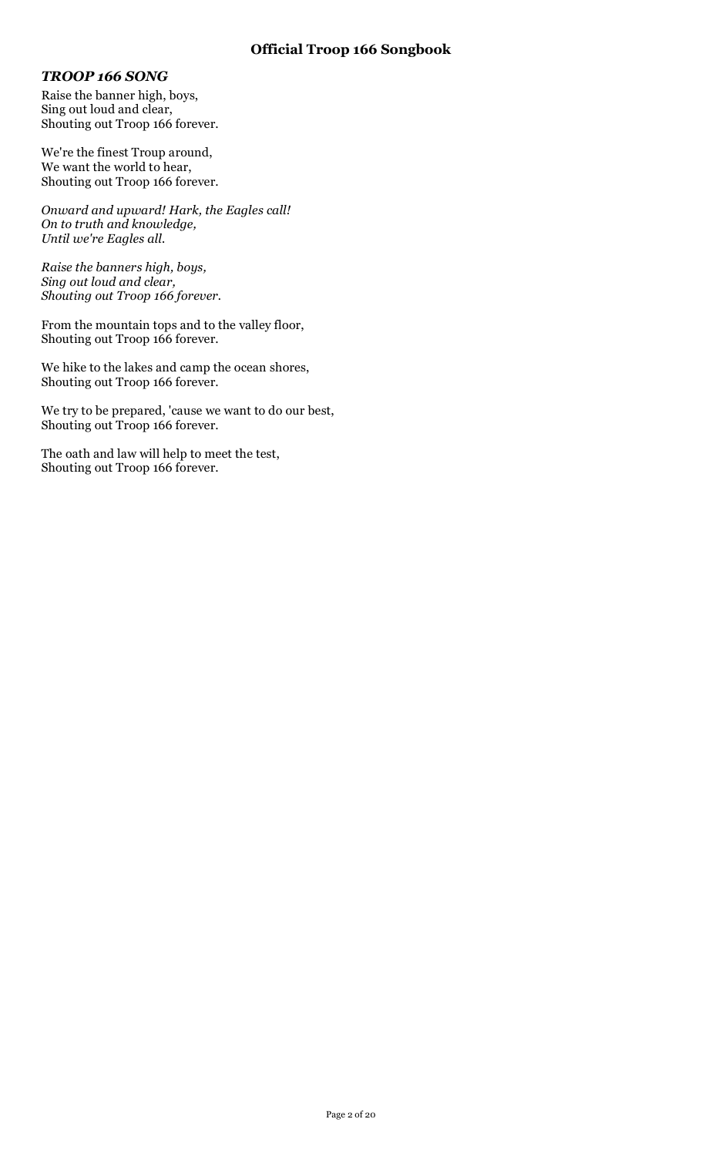#### *TROOP 166 SONG*

Raise the banner high, boys, Sing out loud and clear, Shouting out Troop 166 forever.

We're the finest Troup around, We want the world to hear, Shouting out Troop 166 forever.

*Onward and upward! Hark, the Eagles call! On to truth and knowledge, Until we're Eagles all.*

*Raise the banners high, boys, Sing out loud and clear, Shouting out Troop 166 forever.*

From the mountain tops and to the valley floor, Shouting out Troop 166 forever.

We hike to the lakes and camp the ocean shores, Shouting out Troop 166 forever.

We try to be prepared, 'cause we want to do our best, Shouting out Troop 166 forever.

The oath and law will help to meet the test, Shouting out Troop 166 forever.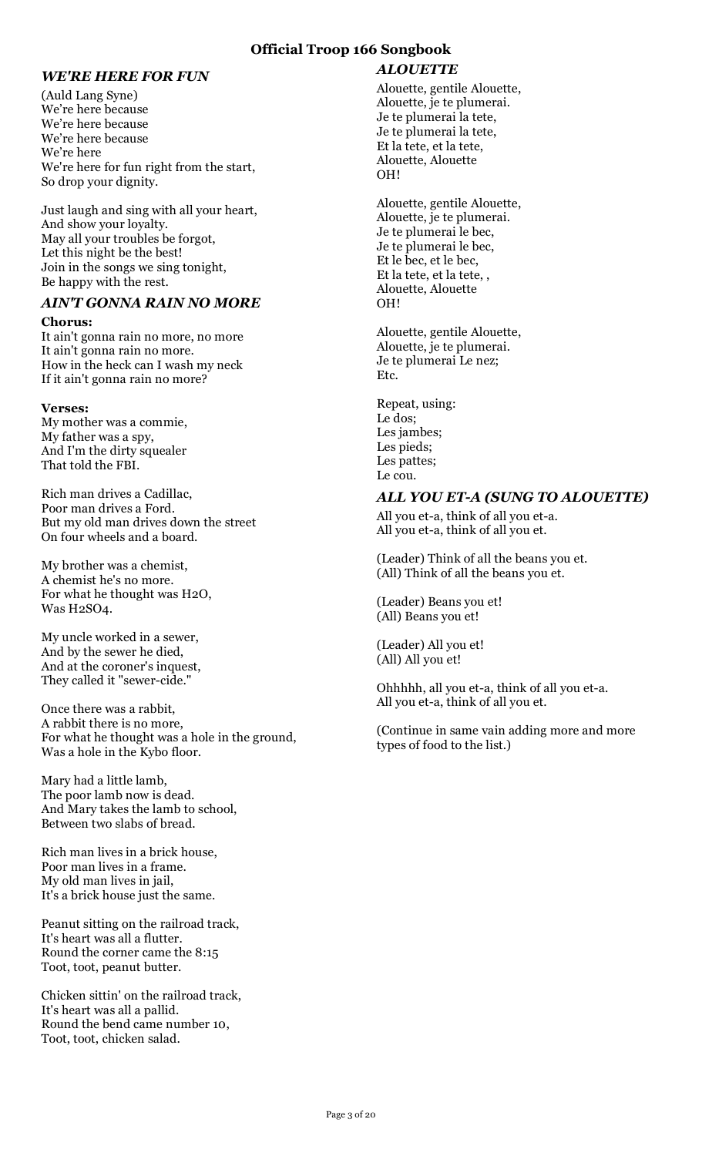#### *WE'RE HERE FOR FUN*

(Auld Lang Syne) We're here because We're here because We're here because We're here We're here for fun right from the start, So drop your dignity.

Just laugh and sing with all your heart, And show your loyalty. May all your troubles be forgot, Let this night be the best! Join in the songs we sing tonight, Be happy with the rest.

#### *AIN'T GONNA RAIN NO MORE*

**Chorus:**

It ain't gonna rain no more, no more It ain't gonna rain no more. How in the heck can I wash my neck If it ain't gonna rain no more?

#### **Verses:**

My mother was a commie, My father was a spy, And I'm the dirty squealer That told the FBI.

Rich man drives a Cadillac, Poor man drives a Ford. But my old man drives down the street On four wheels and a board.

My brother was a chemist, A chemist he's no more. For what he thought was H2O, Was H2SO4.

My uncle worked in a sewer, And by the sewer he died, And at the coroner's inquest, They called it "sewer-cide."

Once there was a rabbit, A rabbit there is no more, For what he thought was a hole in the ground, Was a hole in the Kybo floor.

Mary had a little lamb, The poor lamb now is dead. And Mary takes the lamb to school, Between two slabs of bread.

Rich man lives in a brick house, Poor man lives in a frame. My old man lives in jail, It's a brick house just the same.

Peanut sitting on the railroad track, It's heart was all a flutter. Round the corner came the 8:15 Toot, toot, peanut butter.

Chicken sittin' on the railroad track, It's heart was all a pallid. Round the bend came number 10, Toot, toot, chicken salad.

# *ALOUETTE*

Alouette, gentile Alouette, Alouette, je te plumerai. Je te plumerai la tete, Je te plumerai la tete, Et la tete, et la tete, Alouette, Alouette OH!

Alouette, gentile Alouette, Alouette, je te plumerai. Je te plumerai le bec, Je te plumerai le bec, Et le bec, et le bec, Et la tete, et la tete, , Alouette, Alouette OH!

Alouette, gentile Alouette, Alouette, je te plumerai. Je te plumerai Le nez; Etc.

Repeat, using: Le dos; Les jambes; Les pieds; Les pattes; Le cou.

#### *ALL YOU ET-A (SUNG TO ALOUETTE)*

All you et-a, think of all you et-a. All you et-a, think of all you et.

(Leader) Think of all the beans you et. (All) Think of all the beans you et.

(Leader) Beans you et! (All) Beans you et!

(Leader) All you et! (All) All you et!

Ohhhhh, all you et-a, think of all you et-a. All you et-a, think of all you et.

(Continue in same vain adding more and more types of food to the list.)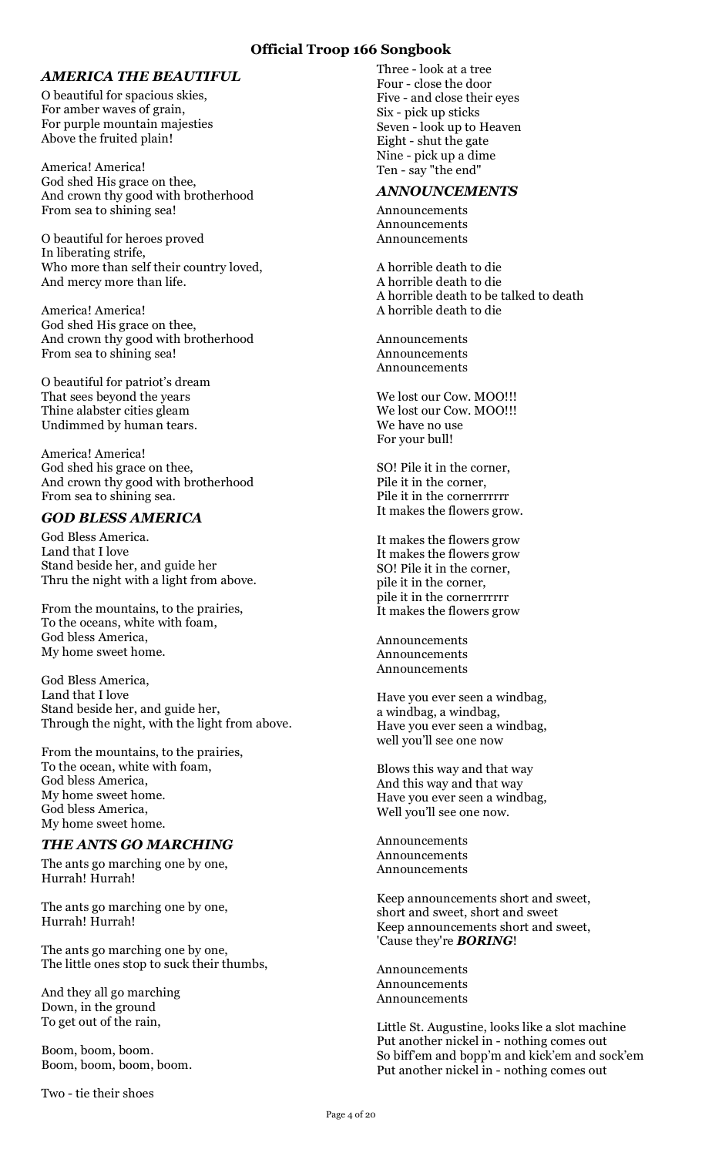#### *AMERICA THE BEAUTIFUL*

O beautiful for spacious skies, For amber waves of grain, For purple mountain majesties Above the fruited plain!

America! America! God shed His grace on thee, And crown thy good with brotherhood From sea to shining sea!

O beautiful for heroes proved In liberating strife, Who more than self their country loved, And mercy more than life.

America! America! God shed His grace on thee, And crown thy good with brotherhood From sea to shining sea!

O beautiful for patriot's dream That sees beyond the years Thine alabster cities gleam Undimmed by human tears.

America! America! God shed his grace on thee, And crown thy good with brotherhood From sea to shining sea.

#### *GOD BLESS AMERICA*

God Bless America. Land that I love Stand beside her, and guide her Thru the night with a light from above.

From the mountains, to the prairies, To the oceans, white with foam, God bless America, My home sweet home.

God Bless America, Land that I love Stand beside her, and guide her, Through the night, with the light from above.

From the mountains, to the prairies, To the ocean, white with foam, God bless America, My home sweet home. God bless America, My home sweet home.

#### *THE ANTS GO MARCHING*

The ants go marching one by one, Hurrah! Hurrah!

The ants go marching one by one, Hurrah! Hurrah!

The ants go marching one by one, The little ones stop to suck their thumbs,

And they all go marching Down, in the ground To get out of the rain,

Boom, boom, boom. Boom, boom, boom, boom.

Two - tie their shoes

Three - look at a tree Four - close the door Five - and close their eyes Six - pick up sticks Seven - look up to Heaven Eight - shut the gate Nine - pick up a dime Ten - say "the end"

#### *ANNOUNCEMENTS*

Announcements Announcements Announcements

A horrible death to die A horrible death to die A horrible death to be talked to death A horrible death to die

Announcements Announcements Announcements

We lost our Cow. MOO!!! We lost our Cow. MOO!!! We have no use For your bull!

SO! Pile it in the corner, Pile it in the corner, Pile it in the cornerrrrrr It makes the flowers grow.

It makes the flowers grow It makes the flowers grow SO! Pile it in the corner, pile it in the corner, pile it in the cornerrrrrr It makes the flowers grow

Announcements Announcements Announcements

Have you ever seen a windbag, a windbag, a windbag, Have you ever seen a windbag, well you'll see one now

Blows this way and that way And this way and that way Have you ever seen a windbag, Well you'll see one now.

Announcements Announcements Announcements

Keep announcements short and sweet, short and sweet, short and sweet Keep announcements short and sweet, 'Cause they're *BORING*!

Announcements Announcements Announcements

Little St. Augustine, looks like a slot machine Put another nickel in - nothing comes out So biff'em and bopp'm and kick'em and sock'em Put another nickel in - nothing comes out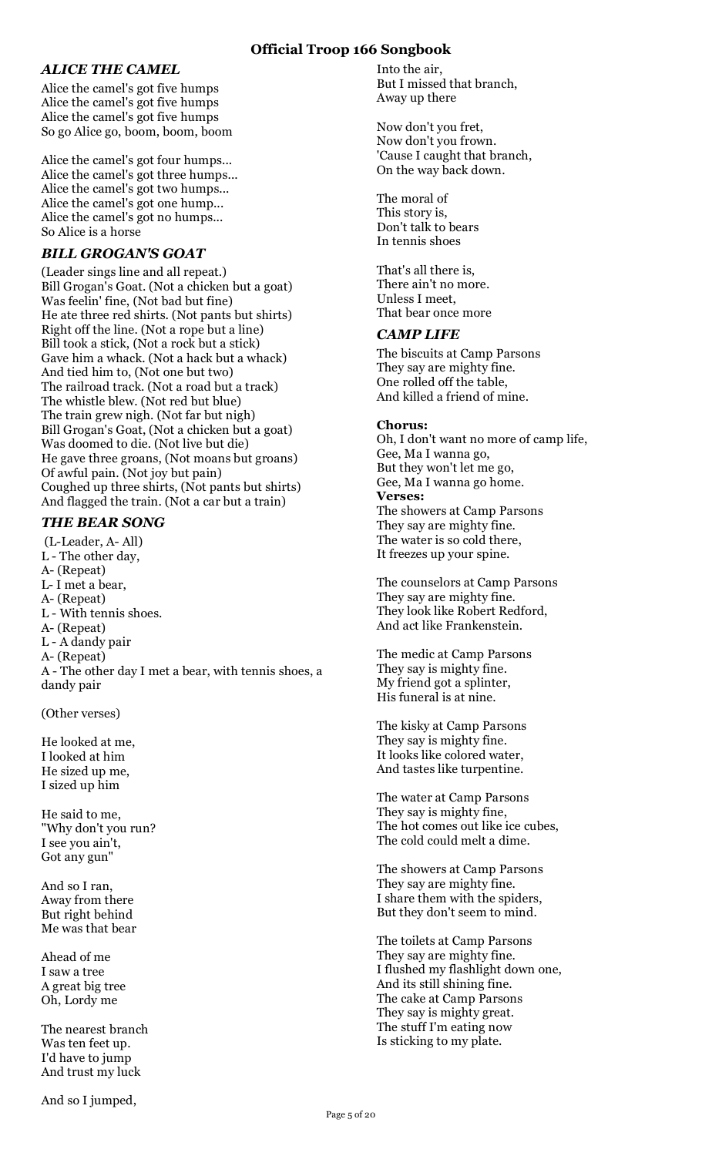## *ALICE THE CAMEL*

Alice the camel's got five humps Alice the camel's got five humps Alice the camel's got five humps So go Alice go, boom, boom, boom

Alice the camel's got four humps... Alice the camel's got three humps... Alice the camel's got two humps... Alice the camel's got one hump... Alice the camel's got no humps... So Alice is a horse

# *BILL GROGAN'S GOAT*

(Leader sings line and all repeat.) Bill Grogan's Goat. (Not a chicken but a goat) Was feelin' fine, (Not bad but fine) He ate three red shirts. (Not pants but shirts) Right off the line. (Not a rope but a line) Bill took a stick, (Not a rock but a stick) Gave him a whack. (Not a hack but a whack) And tied him to, (Not one but two) The railroad track. (Not a road but a track) The whistle blew. (Not red but blue) The train grew nigh. (Not far but nigh) Bill Grogan's Goat, (Not a chicken but a goat) Was doomed to die. (Not live but die) He gave three groans, (Not moans but groans) Of awful pain. (Not joy but pain) Coughed up three shirts, (Not pants but shirts) And flagged the train. (Not a car but a train)

# *THE BEAR SONG*

(L-Leader, A- All) L - The other day, A- (Repeat) L- I met a bear, A- (Repeat) L - With tennis shoes. A- (Repeat) L - A dandy pair A- (Repeat) A - The other day I met a bear, with tennis shoes, a dandy pair

(Other verses)

He looked at me, I looked at him He sized up me, I sized up him

He said to me, "Why don't you run? I see you ain't, Got any gun"

And so I ran, Away from there But right behind Me was that bear

Ahead of me I saw a tree A great big tree Oh, Lordy me

The nearest branch Was ten feet up. I'd have to jump And trust my luck

Into the air, But I missed that branch, Away up there

Now don't you fret, Now don't you frown. 'Cause I caught that branch, On the way back down.

The moral of This story is, Don't talk to bears In tennis shoes

That's all there is, There ain't no more. Unless I meet, That bear once more

# *CAMP LIFE*

The biscuits at Camp Parsons They say are mighty fine. One rolled off the table, And killed a friend of mine.

#### **Chorus:**

Oh, I don't want no more of camp life, Gee, Ma I wanna go, But they won't let me go, Gee, Ma I wanna go home. **Verses:** The showers at Camp Parsons They say are mighty fine. The water is so cold there, It freezes up your spine.

The counselors at Camp Parsons They say are mighty fine. They look like Robert Redford, And act like Frankenstein.

The medic at Camp Parsons They say is mighty fine. My friend got a splinter, His funeral is at nine.

The kisky at Camp Parsons They say is mighty fine. It looks like colored water, And tastes like turpentine.

The water at Camp Parsons They say is mighty fine, The hot comes out like ice cubes, The cold could melt a dime.

The showers at Camp Parsons They say are mighty fine. I share them with the spiders, But they don't seem to mind.

The toilets at Camp Parsons They say are mighty fine. I flushed my flashlight down one, And its still shining fine. The cake at Camp Parsons They say is mighty great. The stuff I'm eating now Is sticking to my plate.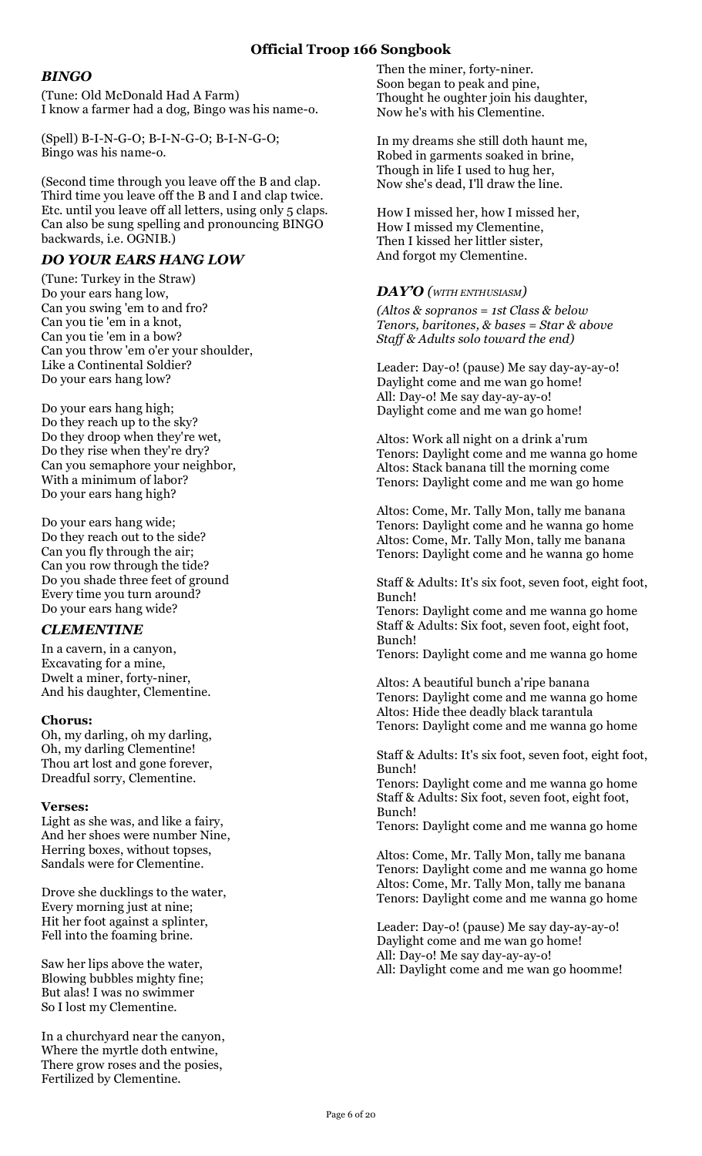## *BINGO*

(Tune: Old McDonald Had A Farm) I know a farmer had a dog, Bingo was his name-o.

(Spell) B-I-N-G-O; B-I-N-G-O; B-I-N-G-O; Bingo was his name-o.

(Second time through you leave off the B and clap. Third time you leave off the B and I and clap twice. Etc. until you leave off all letters, using only 5 claps. Can also be sung spelling and pronouncing BINGO backwards, i.e. OGNIB.)

#### *DO YOUR EARS HANG LOW*

(Tune: Turkey in the Straw) Do your ears hang low, Can you swing 'em to and fro? Can you tie 'em in a knot, Can you tie 'em in a bow? Can you throw 'em o'er your shoulder, Like a Continental Soldier? Do your ears hang low?

Do your ears hang high; Do they reach up to the sky? Do they droop when they're wet, Do they rise when they're dry? Can you semaphore your neighbor, With a minimum of labor? Do your ears hang high?

Do your ears hang wide; Do they reach out to the side? Can you fly through the air; Can you row through the tide? Do you shade three feet of ground Every time you turn around? Do your ears hang wide?

## *CLEMENTINE*

In a cavern, in a canyon, Excavating for a mine, Dwelt a miner, forty-niner, And his daughter, Clementine.

#### **Chorus:**

Oh, my darling, oh my darling, Oh, my darling Clementine! Thou art lost and gone forever, Dreadful sorry, Clementine.

#### **Verses:**

Light as she was, and like a fairy, And her shoes were number Nine, Herring boxes, without topses, Sandals were for Clementine.

Drove she ducklings to the water, Every morning just at nine; Hit her foot against a splinter, Fell into the foaming brine.

Saw her lips above the water, Blowing bubbles mighty fine; But alas! I was no swimmer So I lost my Clementine.

In a churchyard near the canyon, Where the myrtle doth entwine, There grow roses and the posies, Fertilized by Clementine.

Then the miner, forty-niner. Soon began to peak and pine, Thought he oughter join his daughter, Now he's with his Clementine.

In my dreams she still doth haunt me, Robed in garments soaked in brine, Though in life I used to hug her, Now she's dead, I'll draw the line.

How I missed her, how I missed her, How I missed my Clementine, Then I kissed her littler sister, And forgot my Clementine.

#### *DAY'O (WITH ENTHUSIASM)*

*(Altos & sopranos = 1st Class & below Tenors, baritones, & bases = Star & above Staff & Adults solo toward the end)*

Leader: Day-o! (pause) Me say day-ay-ay-o! Daylight come and me wan go home! All: Day-o! Me say day-ay-ay-o! Daylight come and me wan go home!

Altos: Work all night on a drink a'rum Tenors: Daylight come and me wanna go home Altos: Stack banana till the morning come Tenors: Daylight come and me wan go home

Altos: Come, Mr. Tally Mon, tally me banana Tenors: Daylight come and he wanna go home Altos: Come, Mr. Tally Mon, tally me banana Tenors: Daylight come and he wanna go home

Staff & Adults: It's six foot, seven foot, eight foot, Bunch!

Tenors: Daylight come and me wanna go home Staff & Adults: Six foot, seven foot, eight foot, Bunch!

Tenors: Daylight come and me wanna go home

Altos: A beautiful bunch a'ripe banana Tenors: Daylight come and me wanna go home Altos: Hide thee deadly black tarantula Tenors: Daylight come and me wanna go home

Staff & Adults: It's six foot, seven foot, eight foot, Bunch!

Tenors: Daylight come and me wanna go home Staff & Adults: Six foot, seven foot, eight foot, Bunch!

Tenors: Daylight come and me wanna go home

Altos: Come, Mr. Tally Mon, tally me banana Tenors: Daylight come and me wanna go home Altos: Come, Mr. Tally Mon, tally me banana Tenors: Daylight come and me wanna go home

Leader: Day-o! (pause) Me say day-ay-ay-o! Daylight come and me wan go home! All: Day-o! Me say day-ay-ay-o! All: Daylight come and me wan go hoomme!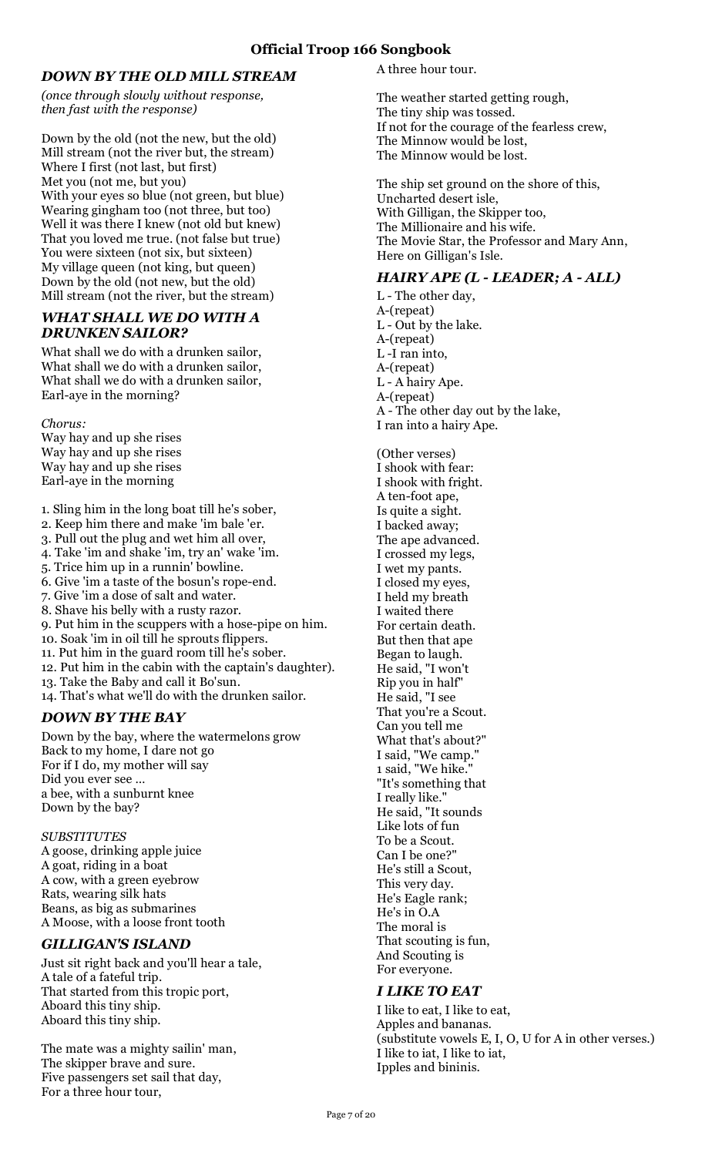#### *DOWN BY THE OLD MILL STREAM*

*(once through slowly without response, then fast with the response)*

Down by the old (not the new, but the old) Mill stream (not the river but, the stream) Where I first (not last, but first) Met you (not me, but you) With your eyes so blue (not green, but blue) Wearing gingham too (not three, but too) Well it was there I knew (not old but knew) That you loved me true. (not false but true) You were sixteen (not six, but sixteen) My village queen (not king, but queen) Down by the old (not new, but the old) Mill stream (not the river, but the stream)

## *WHAT SHALL WE DO WITH A DRUNKEN SAILOR?*

What shall we do with a drunken sailor, What shall we do with a drunken sailor, What shall we do with a drunken sailor, Earl-aye in the morning?

*Chorus:*

Way hay and up she rises Way hay and up she rises Way hay and up she rises Earl-aye in the morning

- 1. Sling him in the long boat till he's sober,
- 2. Keep him there and make 'im bale 'er.
- 3. Pull out the plug and wet him all over,
- 4. Take 'im and shake 'im, try an' wake 'im.
- 5. Trice him up in a runnin' bowline.
- 6. Give 'im a taste of the bosun's rope-end.
- 7. Give 'im a dose of salt and water.
- 8. Shave his belly with a rusty razor.
- 9. Put him in the scuppers with a hose-pipe on him.
- 10. Soak 'im in oil till he sprouts flippers.
- 11. Put him in the guard room till he's sober.
- 12. Put him in the cabin with the captain's daughter).
- 13. Take the Baby and call it Bo'sun.
- 14. That's what we'll do with the drunken sailor.

#### *DOWN BY THE BAY*

Down by the bay, where the watermelons grow Back to my home, I dare not go For if I do, my mother will say Did you ever see … a bee, with a sunburnt knee Down by the bay?

#### *SUBSTITUTES*

A goose, drinking apple juice A goat, riding in a boat A cow, with a green eyebrow Rats, wearing silk hats Beans, as big as submarines A Moose, with a loose front tooth

#### *GILLIGAN'S ISLAND*

Just sit right back and you'll hear a tale, A tale of a fateful trip. That started from this tropic port, Aboard this tiny ship. Aboard this tiny ship.

The mate was a mighty sailin' man, The skipper brave and sure. Five passengers set sail that day, For a three hour tour,

A three hour tour.

The weather started getting rough, The tiny ship was tossed. If not for the courage of the fearless crew, The Minnow would be lost, The Minnow would be lost.

The ship set ground on the shore of this, Uncharted desert isle, With Gilligan, the Skipper too, The Millionaire and his wife. The Movie Star, the Professor and Mary Ann, Here on Gilligan's Isle.

#### *HAIRY APE (L - LEADER; A - ALL)*

L - The other day, A-(repeat) L - Out by the lake. A-(repeat) L -I ran into, A-(repeat) L - A hairy Ape. A-(repeat) A - The other day out by the lake, I ran into a hairy Ape. (Other verses) I shook with fear: I shook with fright. A ten-foot ape, Is quite a sight. I backed away; The ape advanced. I crossed my legs, I wet my pants. I closed my eyes, I held my breath I waited there For certain death. But then that ape Began to laugh. He said, "I won't Rip you in half" He said, "I see That you're a Scout. Can you tell me What that's about?" I said, "We camp." 1 said, "We hike." "It's something that I really like." He said, "It sounds Like lots of fun To be a Scout. Can I be one?" He's still a Scout, This very day. He's Eagle rank; He's in O.A The moral is That scouting is fun, And Scouting is For everyone.

#### *I LIKE TO EAT*

I like to eat, I like to eat, Apples and bananas. (substitute vowels E, I, O, U for A in other verses.) I like to iat, I like to iat, Ipples and bininis.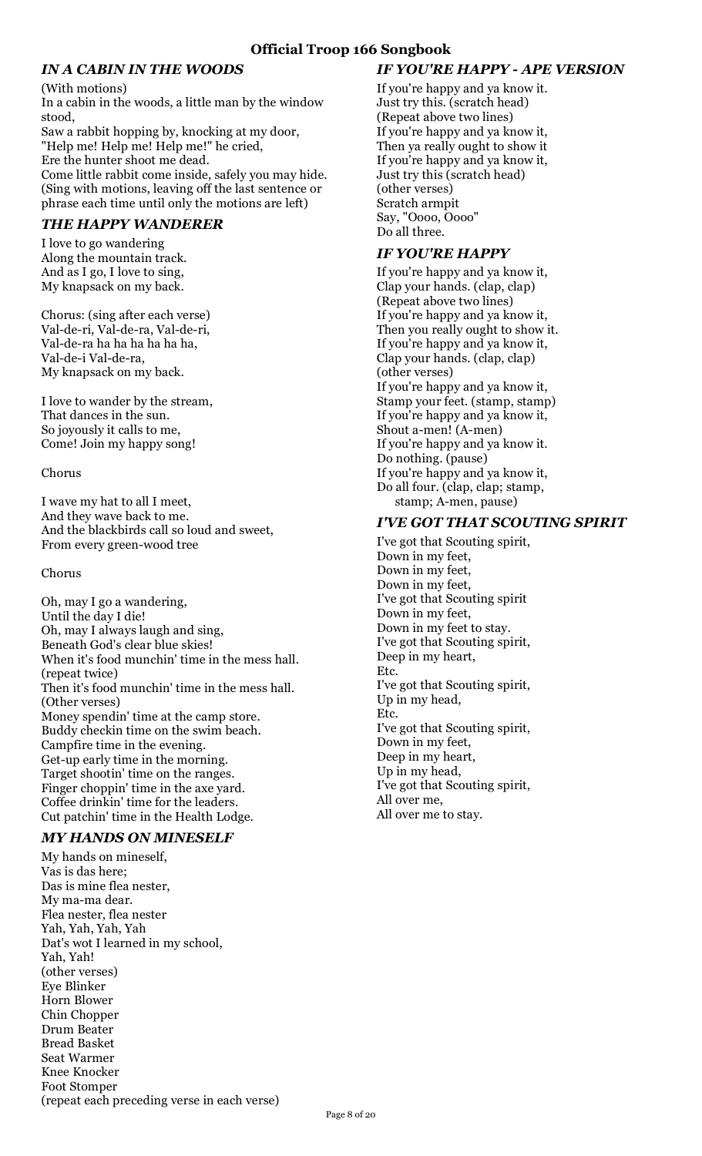# *IN A CABIN IN THE WOODS*

(With motions)

In a cabin in the woods, a little man by the window stood,

Saw a rabbit hopping by, knocking at my door, "Help me! Help me! Help me!" he cried, Ere the hunter shoot me dead. Come little rabbit come inside, safely you may hide.

(Sing with motions, leaving off the last sentence or phrase each time until only the motions are left)

## *THE HAPPY WANDERER*

I love to go wandering Along the mountain track. And as I go, I love to sing, My knapsack on my back.

Chorus: (sing after each verse) Val-de-ri, Val-de-ra, Val-de-ri, Val-de-ra ha ha ha ha ha ha, Val-de-i Val-de-ra, My knapsack on my back.

I love to wander by the stream, That dances in the sun. So joyously it calls to me, Come! Join my happy song!

#### Chorus

I wave my hat to all I meet, And they wave back to me. And the blackbirds call so loud and sweet, From every green-wood tree

#### Chorus

Oh, may I go a wandering, Until the day I die! Oh, may I always laugh and sing, Beneath God's clear blue skies! When it's food munchin' time in the mess hall. (repeat twice) Then it's food munchin' time in the mess hall. (Other verses) Money spendin' time at the camp store. Buddy checkin time on the swim beach. Campfire time in the evening. Get-up early time in the morning. Target shootin' time on the ranges. Finger choppin' time in the axe yard. Coffee drinkin' time for the leaders. Cut patchin' time in the Health Lodge.

#### *MY HANDS ON MINESELF*

My hands on mineself, Vas is das here; Das is mine flea nester, My ma-ma dear. Flea nester, flea nester Yah, Yah, Yah, Yah Dat's wot I learned in my school, Yah, Yah! (other verses) Eye Blinker Horn Blower Chin Chopper Drum Beater Bread Basket Seat Warmer Knee Knocker Foot Stomper (repeat each preceding verse in each verse)

# *IF YOU'RE HAPPY - APE VERSION*

If you're happy and ya know it. Just try this. (scratch head) (Repeat above two lines) If you're happy and ya know it, Then ya really ought to show it If you're happy and ya know it, Just try this (scratch head) (other verses) Scratch armpit Say, "Oooo, Oooo" Do all three.

## *IF YOU'RE HAPPY*

If you're happy and ya know it, Clap your hands. (clap, clap) (Repeat above two lines) If you're happy and ya know it, Then you really ought to show it. If you're happy and ya know it, Clap your hands. (clap, clap) (other verses) If you're happy and ya know it, Stamp your feet. (stamp, stamp) If you're happy and ya know it, Shout a-men! (A-men) If you're happy and ya know it. Do nothing. (pause) If you're happy and ya know it, Do all four. (clap, clap; stamp, stamp; A-men, pause)

## *I'VE GOT THAT SCOUTING SPIRIT*

I've got that Scouting spirit, Down in my feet, Down in my feet, Down in my feet, I've got that Scouting spirit Down in my feet, Down in my feet to stay. I've got that Scouting spirit, Deep in my heart, Etc. I've got that Scouting spirit, Up in my head, Etc. I've got that Scouting spirit, Down in my feet, Deep in my heart, Up in my head, I've got that Scouting spirit, All over me, All over me to stay.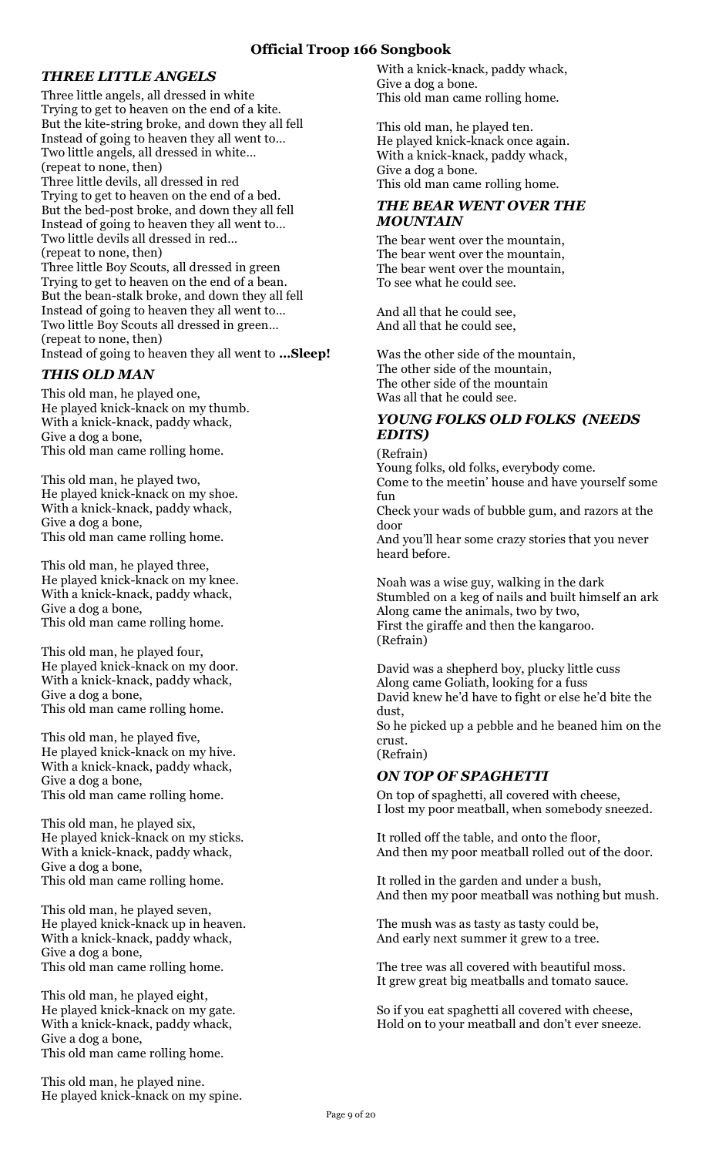## *THREE LITTLE ANGELS*

Three little angels, all dressed in white Trying to get to heaven on the end of a kite. But the kite-string broke, and down they all fell Instead of going to heaven they all went to… Two little angels, all dressed in white… (repeat to none, then) Three little devils, all dressed in red Trying to get to heaven on the end of a bed. But the bed-post broke, and down they all fell Instead of going to heaven they all went to… Two little devils all dressed in red… (repeat to none, then) Three little Boy Scouts, all dressed in green Trying to get to heaven on the end of a bean. But the bean-stalk broke, and down they all fell Instead of going to heaven they all went to… Two little Boy Scouts all dressed in green… (repeat to none, then) Instead of going to heaven they all went to **…Sleep!**

#### *THIS OLD MAN*

This old man, he played one, He played knick-knack on my thumb. With a knick-knack, paddy whack, Give a dog a bone, This old man came rolling home.

This old man, he played two, He played knick-knack on my shoe. With a knick-knack, paddy whack, Give a dog a bone, This old man came rolling home.

This old man, he played three, He played knick-knack on my knee. With a knick-knack, paddy whack, Give a dog a bone, This old man came rolling home.

This old man, he played four, He played knick-knack on my door. With a knick-knack, paddy whack, Give a dog a bone, This old man came rolling home.

This old man, he played five, He played knick-knack on my hive. With a knick-knack, paddy whack, Give a dog a bone, This old man came rolling home.

This old man, he played six, He played knick-knack on my sticks. With a knick-knack, paddy whack, Give a dog a bone, This old man came rolling home.

This old man, he played seven, He played knick-knack up in heaven. With a knick-knack, paddy whack, Give a dog a bone, This old man came rolling home.

This old man, he played eight, He played knick-knack on my gate. With a knick-knack, paddy whack, Give a dog a bone, This old man came rolling home.

This old man, he played nine. He played knick-knack on my spine.

With a knick-knack, paddy whack, Give a dog a bone. This old man came rolling home.

This old man, he played ten. He played knick-knack once again. With a knick-knack, paddy whack, Give a dog a bone. This old man came rolling home.

## *THE BEAR WENT OVER THE MOUNTAIN*

The bear went over the mountain, The bear went over the mountain, The bear went over the mountain, To see what he could see.

And all that he could see, And all that he could see,

Was the other side of the mountain, The other side of the mountain, The other side of the mountain Was all that he could see.

## *YOUNG FOLKS OLD FOLKS (NEEDS EDITS)*

(Refrain)

Young folks, old folks, everybody come. Come to the meetin' house and have yourself some

fun Check your wads of bubble gum, and razors at the door

And you'll hear some crazy stories that you never heard before.

Noah was a wise guy, walking in the dark Stumbled on a keg of nails and built himself an ark Along came the animals, two by two, First the giraffe and then the kangaroo. (Refrain)

David was a shepherd boy, plucky little cuss Along came Goliath, looking for a fuss David knew he'd have to fight or else he'd bite the dust, So he picked up a pebble and he beaned him on the crust.

(Refrain)

# *ON TOP OF SPAGHETTI*

On top of spaghetti, all covered with cheese, I lost my poor meatball, when somebody sneezed.

It rolled off the table, and onto the floor, And then my poor meatball rolled out of the door.

It rolled in the garden and under a bush, And then my poor meatball was nothing but mush.

The mush was as tasty as tasty could be, And early next summer it grew to a tree.

The tree was all covered with beautiful moss. It grew great big meatballs and tomato sauce.

So if you eat spaghetti all covered with cheese, Hold on to your meatball and don't ever sneeze.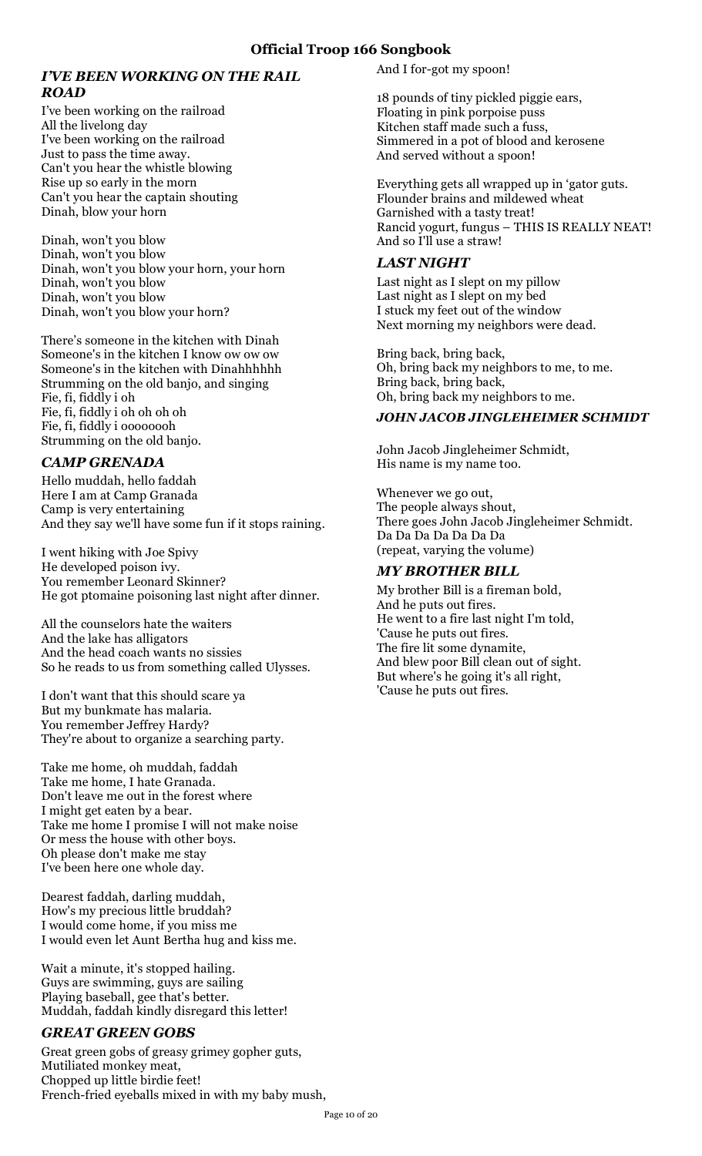## *I'VE BEEN WORKING ON THE RAIL ROAD*

I've been working on the railroad All the livelong day I've been working on the railroad Just to pass the time away. Can't you hear the whistle blowing Rise up so early in the morn Can't you hear the captain shouting Dinah, blow your horn

Dinah, won't you blow Dinah, won't you blow Dinah, won't you blow your horn, your horn Dinah, won't you blow Dinah, won't you blow Dinah, won't you blow your horn?

There's someone in the kitchen with Dinah Someone's in the kitchen I know ow ow ow Someone's in the kitchen with Dinahhhhhh Strumming on the old banjo, and singing Fie, fi, fiddly i oh Fie, fi, fiddly i oh oh oh oh Fie, fi, fiddly i oooooooh Strumming on the old banjo.

#### *CAMP GRENADA*

Hello muddah, hello faddah Here I am at Camp Granada Camp is very entertaining And they say we'll have some fun if it stops raining.

I went hiking with Joe Spivy He developed poison ivy. You remember Leonard Skinner? He got ptomaine poisoning last night after dinner.

All the counselors hate the waiters And the lake has alligators And the head coach wants no sissies So he reads to us from something called Ulysses.

I don't want that this should scare ya But my bunkmate has malaria. You remember Jeffrey Hardy? They're about to organize a searching party.

Take me home, oh muddah, faddah Take me home, I hate Granada. Don't leave me out in the forest where I might get eaten by a bear. Take me home I promise I will not make noise Or mess the house with other boys. Oh please don't make me stay I've been here one whole day.

Dearest faddah, darling muddah, How's my precious little bruddah? I would come home, if you miss me I would even let Aunt Bertha hug and kiss me.

Wait a minute, it's stopped hailing. Guys are swimming, guys are sailing Playing baseball, gee that's better. Muddah, faddah kindly disregard this letter!

#### *GREAT GREEN GOBS*

Great green gobs of greasy grimey gopher guts, Mutiliated monkey meat, Chopped up little birdie feet! French-fried eyeballs mixed in with my baby mush, And I for-got my spoon!

18 pounds of tiny pickled piggie ears, Floating in pink porpoise puss Kitchen staff made such a fuss, Simmered in a pot of blood and kerosene And served without a spoon!

Everything gets all wrapped up in 'gator guts. Flounder brains and mildewed wheat Garnished with a tasty treat! Rancid yogurt, fungus – THIS IS REALLY NEAT! And so I'll use a straw!

## *LAST NIGHT*

Last night as I slept on my pillow Last night as I slept on my bed I stuck my feet out of the window Next morning my neighbors were dead.

Bring back, bring back, Oh, bring back my neighbors to me, to me. Bring back, bring back, Oh, bring back my neighbors to me.

#### *JOHN JACOB JINGLEHEIMER SCHMIDT*

John Jacob Jingleheimer Schmidt, His name is my name too.

Whenever we go out, The people always shout, There goes John Jacob Jingleheimer Schmidt. Da Da Da Da Da Da Da (repeat, varying the volume)

#### *MY BROTHER BILL*

My brother Bill is a fireman bold, And he puts out fires. He went to a fire last night I'm told, 'Cause he puts out fires. The fire lit some dynamite, And blew poor Bill clean out of sight. But where's he going it's all right, 'Cause he puts out fires.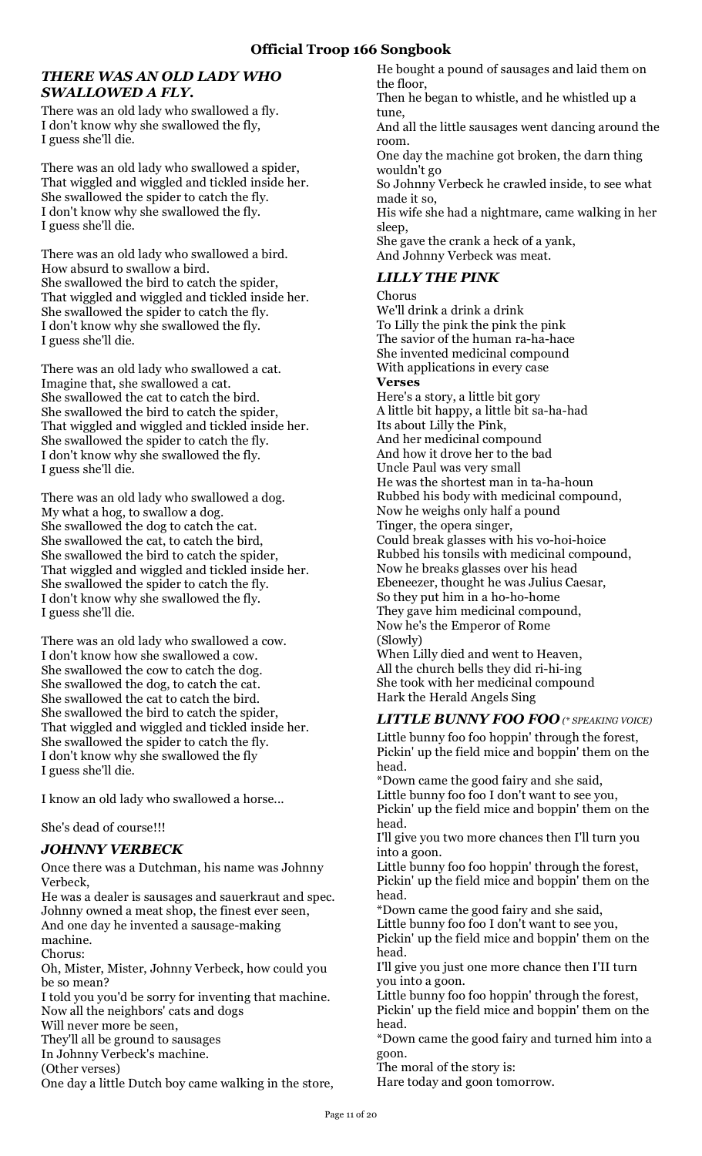#### *THERE WAS AN OLD LADY WHO SWALLOWED A FLY.*

There was an old lady who swallowed a fly. I don't know why she swallowed the fly, I guess she'll die.

There was an old lady who swallowed a spider, That wiggled and wiggled and tickled inside her. She swallowed the spider to catch the fly. I don't know why she swallowed the fly. I guess she'll die.

There was an old lady who swallowed a bird. How absurd to swallow a bird. She swallowed the bird to catch the spider, That wiggled and wiggled and tickled inside her. She swallowed the spider to catch the fly. I don't know why she swallowed the fly. I guess she'll die.

There was an old lady who swallowed a cat. Imagine that, she swallowed a cat. She swallowed the cat to catch the bird. She swallowed the bird to catch the spider, That wiggled and wiggled and tickled inside her. She swallowed the spider to catch the fly. I don't know why she swallowed the fly. I guess she'll die.

There was an old lady who swallowed a dog. My what a hog, to swallow a dog. She swallowed the dog to catch the cat. She swallowed the cat, to catch the bird, She swallowed the bird to catch the spider, That wiggled and wiggled and tickled inside her. She swallowed the spider to catch the fly. I don't know why she swallowed the fly. I guess she'll die.

There was an old lady who swallowed a cow. I don't know how she swallowed a cow. She swallowed the cow to catch the dog. She swallowed the dog, to catch the cat. She swallowed the cat to catch the bird. She swallowed the bird to catch the spider, That wiggled and wiggled and tickled inside her. She swallowed the spider to catch the fly. I don't know why she swallowed the fly I guess she'll die.

I know an old lady who swallowed a horse...

She's dead of course!!!

## *JOHNNY VERBECK*

Once there was a Dutchman, his name was Johnny Verbeck,

He was a dealer is sausages and sauerkraut and spec. Johnny owned a meat shop, the finest ever seen, And one day he invented a sausage-making machine. Chorus:

Oh, Mister, Mister, Johnny Verbeck, how could you be so mean?

I told you you'd be sorry for inventing that machine. Now all the neighbors' cats and dogs

Will never more be seen,

They'll all be ground to sausages In Johnny Verbeck's machine.

(Other verses)

One day a little Dutch boy came walking in the store,

He bought a pound of sausages and laid them on the floor,

Then he began to whistle, and he whistled up a tune,

And all the little sausages went dancing around the room.

One day the machine got broken, the darn thing wouldn't go

So Johnny Verbeck he crawled inside, to see what made it so,

His wife she had a nightmare, came walking in her sleep,

She gave the crank a heck of a yank, And Johnny Verbeck was meat.

# *LILLY THE PINK*

Chorus We'll drink a drink a drink To Lilly the pink the pink the pink The savior of the human ra-ha-hace She invented medicinal compound With applications in every case **Verses** Here's a story, a little bit gory A little bit happy, a little bit sa-ha-had Its about Lilly the Pink, And her medicinal compound And how it drove her to the bad Uncle Paul was very small He was the shortest man in ta-ha-houn Rubbed his body with medicinal compound, Now he weighs only half a pound Tinger, the opera singer, Could break glasses with his vo-hoi-hoice Rubbed his tonsils with medicinal compound, Now he breaks glasses over his head Ebeneezer, thought he was Julius Caesar, So they put him in a ho-ho-home They gave him medicinal compound, Now he's the Emperor of Rome (Slowly) When Lilly died and went to Heaven,

All the church bells they did ri-hi-ing She took with her medicinal compound Hark the Herald Angels Sing

#### *LITTLE BUNNY FOO FOO (\* SPEAKING VOICE)*

Little bunny foo foo hoppin' through the forest, Pickin' up the field mice and boppin' them on the head.

\*Down came the good fairy and she said, Little bunny foo foo I don't want to see you, Pickin' up the field mice and boppin' them on the head.

I'll give you two more chances then I'll turn you into a goon.

Little bunny foo foo hoppin' through the forest, Pickin' up the field mice and boppin' them on the head.

\*Down came the good fairy and she said, Little bunny foo foo I don't want to see you, Pickin' up the field mice and boppin' them on the head.

I'll give you just one more chance then I'II turn you into a goon.

Little bunny foo foo hoppin' through the forest, Pickin' up the field mice and boppin' them on the head.

\*Down came the good fairy and turned him into a goon.

The moral of the story is:

Hare today and goon tomorrow.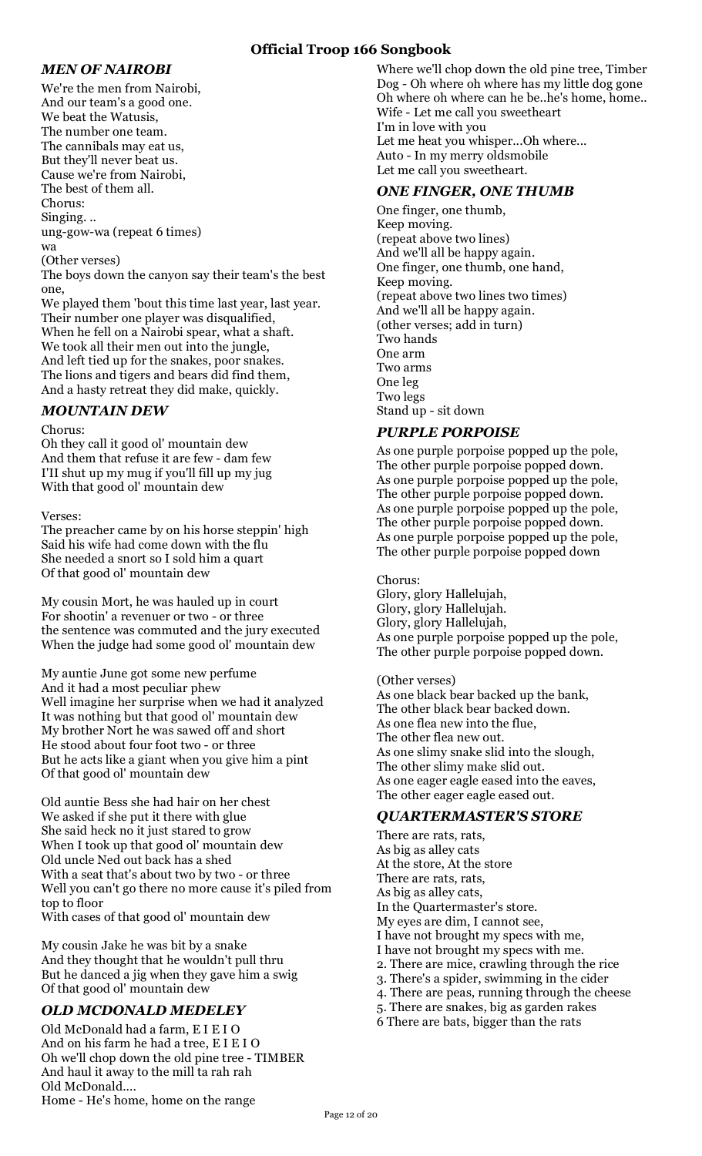## *MEN OF NAIROBI*

We're the men from Nairobi, And our team's a good one. We beat the Watusis, The number one team. The cannibals may eat us, But they'll never beat us. Cause we're from Nairobi, The best of them all. Chorus: Singing. .. ung-gow-wa (repeat 6 times) wa (Other verses) The boys down the canyon say their team's the best one,

We played them 'bout this time last year, last year. Their number one player was disqualified, When he fell on a Nairobi spear, what a shaft. We took all their men out into the jungle, And left tied up for the snakes, poor snakes. The lions and tigers and bears did find them, And a hasty retreat they did make, quickly.

#### *MOUNTAIN DEW*

#### Chorus:

Oh they call it good ol' mountain dew And them that refuse it are few - dam few I'II shut up my mug if you'll fill up my jug With that good ol' mountain dew

#### Verses:

The preacher came by on his horse steppin' high Said his wife had come down with the flu She needed a snort so I sold him a quart Of that good ol' mountain dew

My cousin Mort, he was hauled up in court For shootin' a revenuer or two - or three the sentence was commuted and the jury executed When the judge had some good ol' mountain dew

My auntie June got some new perfume And it had a most peculiar phew Well imagine her surprise when we had it analyzed It was nothing but that good ol' mountain dew My brother Nort he was sawed off and short He stood about four foot two - or three But he acts like a giant when you give him a pint Of that good ol' mountain dew

Old auntie Bess she had hair on her chest We asked if she put it there with glue She said heck no it just stared to grow When I took up that good ol' mountain dew Old uncle Ned out back has a shed With a seat that's about two by two - or three Well you can't go there no more cause it's piled from top to floor

With cases of that good ol' mountain dew

My cousin Jake he was bit by a snake And they thought that he wouldn't pull thru But he danced a jig when they gave him a swig Of that good ol' mountain dew

## *OLD MCDONALD MEDELEY*

Old McDonald had a farm, E I E I O And on his farm he had a tree, E I E I O Oh we'll chop down the old pine tree - TIMBER And haul it away to the mill ta rah rah Old McDonald.... Home - He's home, home on the range

Where we'll chop down the old pine tree, Timber Dog - Oh where oh where has my little dog gone Oh where oh where can he be..he's home, home.. Wife - Let me call you sweetheart I'm in love with you Let me heat you whisper...Oh where... Auto - In my merry oldsmobile Let me call you sweetheart.

#### *ONE FINGER, ONE THUMB*

One finger, one thumb, Keep moving. (repeat above two lines) And we'll all be happy again. One finger, one thumb, one hand, Keep moving. (repeat above two lines two times) And we'll all be happy again. (other verses; add in turn) Two hands One arm Two arms One leg Two legs Stand up - sit down

#### *PURPLE PORPOISE*

As one purple porpoise popped up the pole, The other purple porpoise popped down. As one purple porpoise popped up the pole, The other purple porpoise popped down. As one purple porpoise popped up the pole, The other purple porpoise popped down. As one purple porpoise popped up the pole, The other purple porpoise popped down

#### Chorus:

Glory, glory Hallelujah, Glory, glory Hallelujah. Glory, glory Hallelujah, As one purple porpoise popped up the pole, The other purple porpoise popped down.

#### (Other verses)

As one black bear backed up the bank, The other black bear backed down. As one flea new into the flue, The other flea new out. As one slimy snake slid into the slough, The other slimy make slid out. As one eager eagle eased into the eaves, The other eager eagle eased out.

#### *QUARTERMASTER'S STORE*

There are rats, rats, As big as alley cats At the store, At the store There are rats, rats, As big as alley cats, In the Quartermaster's store. My eyes are dim, I cannot see, I have not brought my specs with me, I have not brought my specs with me. 2. There are mice, crawling through the rice 3. There's a spider, swimming in the cider 4. There are peas, running through the cheese 5. There are snakes, big as garden rakes 6 There are bats, bigger than the rats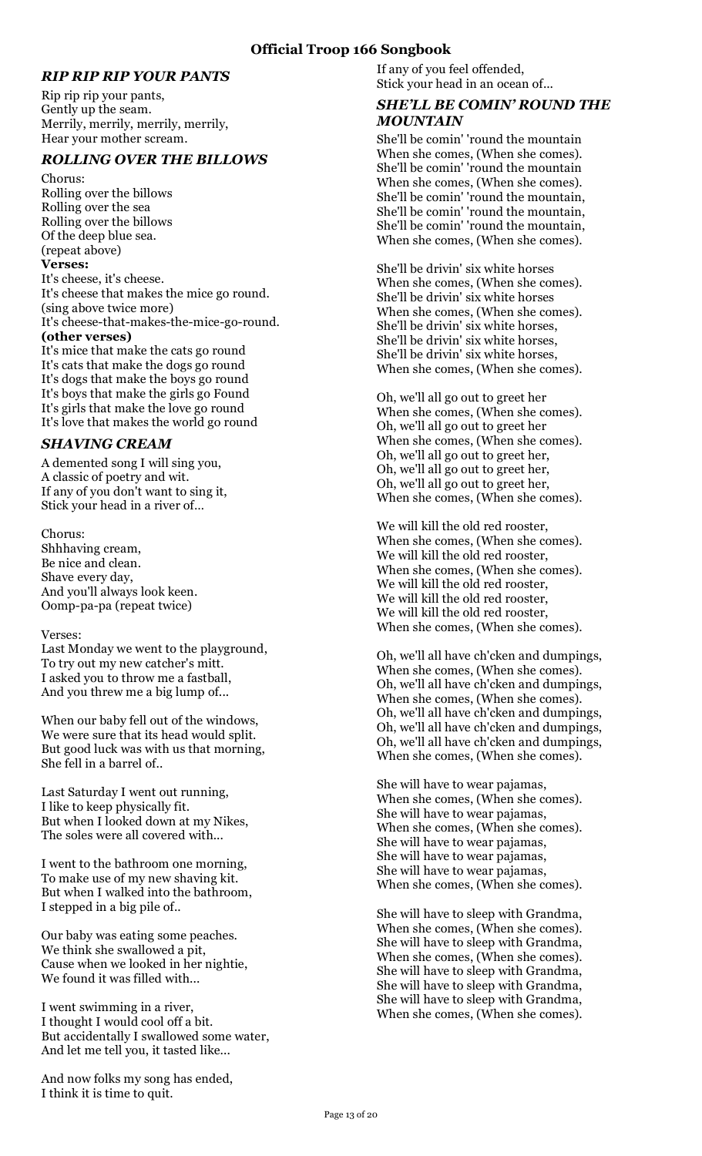#### *RIP RIP RIP YOUR PANTS*

Rip rip rip your pants, Gently up the seam. Merrily, merrily, merrily, merrily, Hear your mother scream.

## *ROLLING OVER THE BILLOWS*

Chorus: Rolling over the billows Rolling over the sea Rolling over the billows Of the deep blue sea. (repeat above) **Verses:** It's cheese, it's cheese. It's cheese that makes the mice go round. (sing above twice more) It's cheese-that-makes-the-mice-go-round. **(other verses)** It's mice that make the cats go round It's cats that make the dogs go round It's dogs that make the boys go round It's boys that make the girls go Found It's girls that make the love go round It's love that makes the world go round

#### *SHAVING CREAM*

A demented song I will sing you, A classic of poetry and wit. If any of you don't want to sing it, Stick your head in a river of…

Chorus: Shhhaving cream, Be nice and clean. Shave every day, And you'll always look keen. Oomp-pa-pa (repeat twice)

#### Verses:

Last Monday we went to the playground, To try out my new catcher's mitt. I asked you to throw me a fastball, And you threw me a big lump of...

When our baby fell out of the windows, We were sure that its head would split. But good luck was with us that morning, She fell in a barrel of..

Last Saturday I went out running, I like to keep physically fit. But when I looked down at my Nikes, The soles were all covered with...

I went to the bathroom one morning, To make use of my new shaving kit. But when I walked into the bathroom, I stepped in a big pile of..

Our baby was eating some peaches. We think she swallowed a pit, Cause when we looked in her nightie, We found it was filled with...

I went swimming in a river, I thought I would cool off a bit. But accidentally I swallowed some water, And let me tell you, it tasted like...

And now folks my song has ended, I think it is time to quit.

If any of you feel offended, Stick your head in an ocean of...

#### *SHE'LL BE COMIN' ROUND THE MOUNTAIN*

She'll be comin' 'round the mountain When she comes, (When she comes). She'll be comin' 'round the mountain When she comes, (When she comes). She'll be comin' 'round the mountain, She'll be comin' 'round the mountain, She'll be comin' 'round the mountain, When she comes, (When she comes).

She'll be drivin' six white horses When she comes, (When she comes). She'll be drivin' six white horses When she comes, (When she comes). She'll be drivin' six white horses, She'll be drivin' six white horses, She'll be drivin' six white horses, When she comes, (When she comes).

Oh, we'll all go out to greet her When she comes, (When she comes). Oh, we'll all go out to greet her When she comes, (When she comes). Oh, we'll all go out to greet her, Oh, we'll all go out to greet her, Oh, we'll all go out to greet her, When she comes, (When she comes).

We will kill the old red rooster, When she comes, (When she comes). We will kill the old red rooster, When she comes, (When she comes). We will kill the old red rooster, We will kill the old red rooster, We will kill the old red rooster, When she comes, (When she comes).

Oh, we'll all have ch'cken and dumpings, When she comes, (When she comes). Oh, we'll all have ch'cken and dumpings, When she comes, (When she comes). Oh, we'll all have ch'cken and dumpings, Oh, we'll all have ch'cken and dumpings, Oh, we'll all have ch'cken and dumpings, When she comes, (When she comes).

She will have to wear pajamas, When she comes, (When she comes). She will have to wear pajamas, When she comes, (When she comes). She will have to wear pajamas, She will have to wear pajamas, She will have to wear pajamas, When she comes, (When she comes).

She will have to sleep with Grandma, When she comes, (When she comes). She will have to sleep with Grandma, When she comes, (When she comes). She will have to sleep with Grandma, She will have to sleep with Grandma, She will have to sleep with Grandma, When she comes, (When she comes).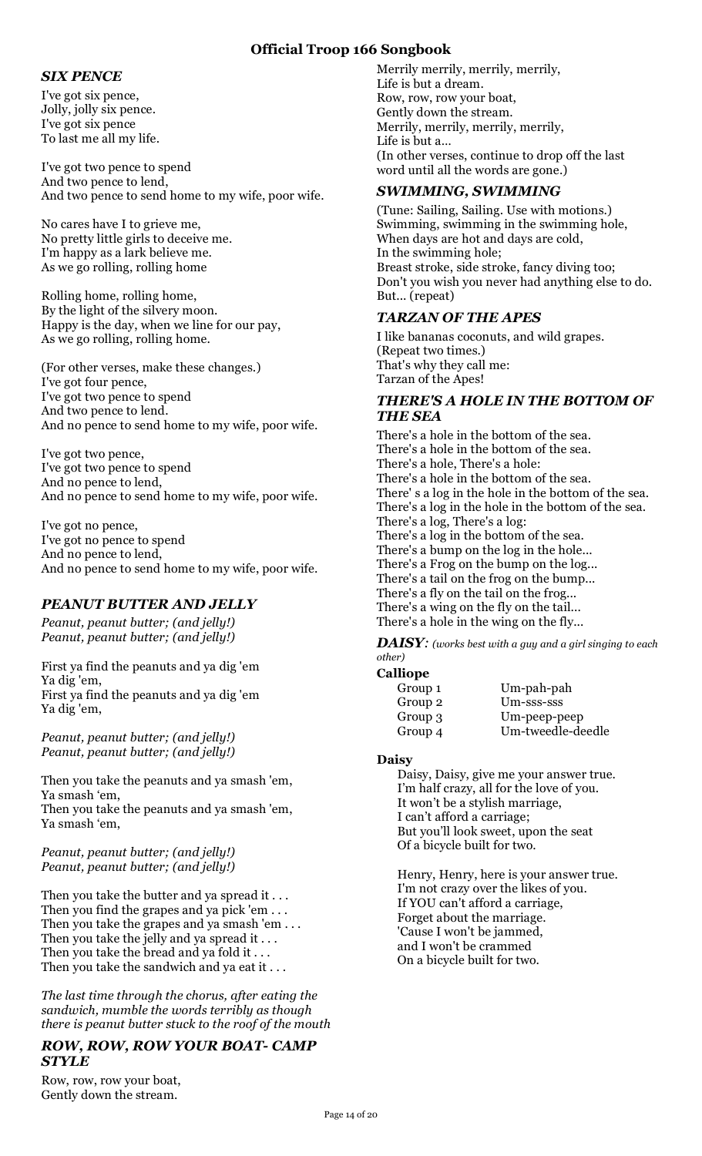#### *SIX PENCE*

I've got six pence, Jolly, jolly six pence. I've got six pence To last me all my life.

I've got two pence to spend And two pence to lend, And two pence to send home to my wife, poor wife.

No cares have I to grieve me, No pretty little girls to deceive me. I'm happy as a lark believe me. As we go rolling, rolling home

Rolling home, rolling home, By the light of the silvery moon. Happy is the day, when we line for our pay, As we go rolling, rolling home.

(For other verses, make these changes.) I've got four pence, I've got two pence to spend And two pence to lend. And no pence to send home to my wife, poor wife.

I've got two pence, I've got two pence to spend And no pence to lend, And no pence to send home to my wife, poor wife.

I've got no pence, I've got no pence to spend And no pence to lend, And no pence to send home to my wife, poor wife.

## *PEANUT BUTTER AND JELLY*

*Peanut, peanut butter; (and jelly!) Peanut, peanut butter; (and jelly!)*

First ya find the peanuts and ya dig 'em Ya dig 'em, First ya find the peanuts and ya dig 'em Ya dig 'em,

*Peanut, peanut butter; (and jelly!) Peanut, peanut butter; (and jelly!)*

Then you take the peanuts and ya smash 'em, Ya smash 'em, Then you take the peanuts and ya smash 'em, Ya smash 'em,

*Peanut, peanut butter; (and jelly!) Peanut, peanut butter; (and jelly!)*

Then you take the butter and ya spread it . . . Then you find the grapes and ya pick 'em . . . Then you take the grapes and ya smash 'em . . . Then you take the jelly and ya spread it . . . Then you take the bread and ya fold it . . . Then you take the sandwich and ya eat it . . .

*The last time through the chorus, after eating the sandwich, mumble the words terribly as though there is peanut butter stuck to the roof of the mouth*

#### *ROW, ROW, ROW YOUR BOAT- CAMP STYLE*

Row, row, row your boat, Gently down the stream.

Merrily merrily, merrily, merrily, Life is but a dream. Row, row, row your boat, Gently down the stream. Merrily, merrily, merrily, merrily, Life is but a… (In other verses, continue to drop off the last word until all the words are gone.)

## *SWIMMING, SWIMMING*

(Tune: Sailing, Sailing. Use with motions.) Swimming, swimming in the swimming hole, When days are hot and days are cold, In the swimming hole; Breast stroke, side stroke, fancy diving too; Don't you wish you never had anything else to do. But... (repeat)

#### *TARZAN OF THE APES*

I like bananas coconuts, and wild grapes. (Repeat two times.) That's why they call me: Tarzan of the Apes!

## *THERE'S A HOLE IN THE BOTTOM OF THE SEA*

There's a hole in the bottom of the sea. There's a hole in the bottom of the sea. There's a hole, There's a hole: There's a hole in the bottom of the sea. There' s a log in the hole in the bottom of the sea. There's a log in the hole in the bottom of the sea. There's a log, There's a log: There's a log in the bottom of the sea. There's a bump on the log in the hole... There's a Frog on the bump on the log... There's a tail on the frog on the bump... There's a fly on the tail on the frog... There's a wing on the fly on the tail... There's a hole in the wing on the fly...

*DAISY: (works best with a guy and a girl singing to each other)*

#### **Calliope**

| ----    |                   |
|---------|-------------------|
| Group 1 | Um-pah-pah        |
| Group 2 | Um-sss-sss        |
| Group 3 | Um-peep-peep      |
| Group 4 | Um-tweedle-deedle |
|         |                   |

#### **Daisy**

Daisy, Daisy, give me your answer true. I'm half crazy, all for the love of you. It won't be a stylish marriage, I can't afford a carriage; But you'll look sweet, upon the seat Of a bicycle built for two.

Henry, Henry, here is your answer true. I'm not crazy over the likes of you. If YOU can't afford a carriage, Forget about the marriage. 'Cause I won't be jammed, and I won't be crammed On a bicycle built for two.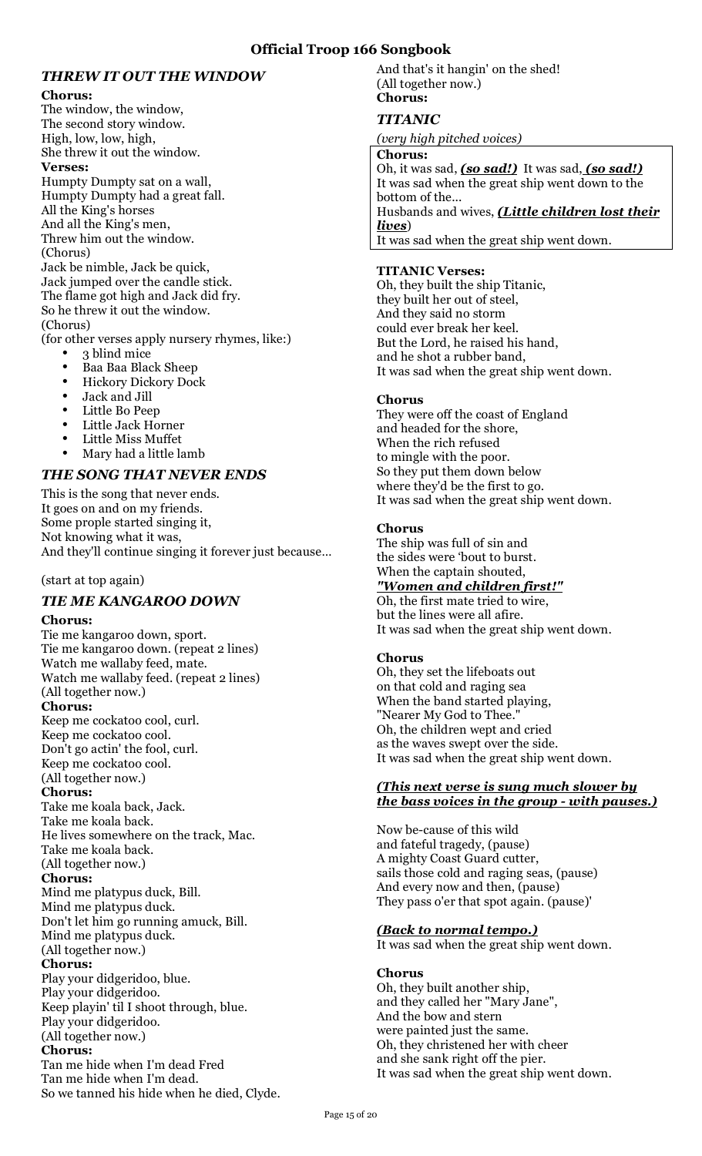## *THREW IT OUT THE WINDOW*

#### **Chorus:**

The window, the window, The second story window. High, low, low, high, She threw it out the window. **Verses:** Humpty Dumpty sat on a wall, Humpty Dumpty had a great fall. All the King's horses And all the King's men, Threw him out the window. (Chorus) Jack be nimble, Jack be quick, Jack jumped over the candle stick. The flame got high and Jack did fry. So he threw it out the window. (Chorus) (for other verses apply nursery rhymes, like:)

- 3 blind mice
- Baa Baa Black Sheep
- Hickory Dickory Dock
- Jack and Jill
- Little Bo Peep
- Little Jack Horner
- Little Miss Muffet
- Mary had a little lamb

#### *THE SONG THAT NEVER ENDS*

This is the song that never ends. It goes on and on my friends. Some prople started singing it, Not knowing what it was, And they'll continue singing it forever just because…

#### (start at top again)

## *TIE ME KANGAROO DOWN*

#### **Chorus:**

Tie me kangaroo down, sport. Tie me kangaroo down. (repeat 2 lines) Watch me wallaby feed, mate. Watch me wallaby feed. (repeat 2 lines) (All together now.) **Chorus:** Keep me cockatoo cool, curl. Keep me cockatoo cool. Don't go actin' the fool, curl. Keep me cockatoo cool. (All together now.)

#### **Chorus:**

Take me koala back, Jack. Take me koala back. He lives somewhere on the track, Mac. Take me koala back. (All together now.) **Chorus:** Mind me platypus duck, Bill. Mind me platypus duck. Don't let him go running amuck, Bill.

Mind me platypus duck.

# (All together now.)

**Chorus:**

Play your didgeridoo, blue. Play your didgeridoo.

Keep playin' til I shoot through, blue.

#### Play your didgeridoo.

(All together now.)

## **Chorus:**

Tan me hide when I'm dead Fred Tan me hide when I'm dead. So we tanned his hide when he died, Clyde. And that's it hangin' on the shed! (All together now.) **Chorus:**

#### *TITANIC*

#### *(very high pitched voices)*

**Chorus:** Oh, it was sad, *(so sad!)* It was sad, *(so sad!)* It was sad when the great ship went down to the bottom of the... Husbands and wives, *(Little children lost their lives*) It was sad when the great ship went down.

#### **TITANIC Verses:**

Oh, they built the ship Titanic, they built her out of steel, And they said no storm could ever break her keel. But the Lord, he raised his hand, and he shot a rubber band, It was sad when the great ship went down.

#### **Chorus**

They were off the coast of England and headed for the shore, When the rich refused to mingle with the poor. So they put them down below where they'd be the first to go. It was sad when the great ship went down.

#### **Chorus**

The ship was full of sin and the sides were 'bout to burst. When the captain shouted, *"Women and children first!"* Oh, the first mate tried to wire, but the lines were all afire. It was sad when the great ship went down.

#### **Chorus**

Oh, they set the lifeboats out on that cold and raging sea When the band started playing, "Nearer My God to Thee." Oh, the children wept and cried as the waves swept over the side. It was sad when the great ship went down.

#### *(This next verse is sung much slower by the bass voices in the group - with pauses.)*

Now be-cause of this wild and fateful tragedy, (pause) A mighty Coast Guard cutter, sails those cold and raging seas, (pause) And every now and then, (pause) They pass o'er that spot again. (pause)'

#### *(Back to normal tempo.)*

It was sad when the great ship went down.

#### **Chorus**

Oh, they built another ship, and they called her "Mary Jane", And the bow and stern were painted just the same. Oh, they christened her with cheer and she sank right off the pier. It was sad when the great ship went down.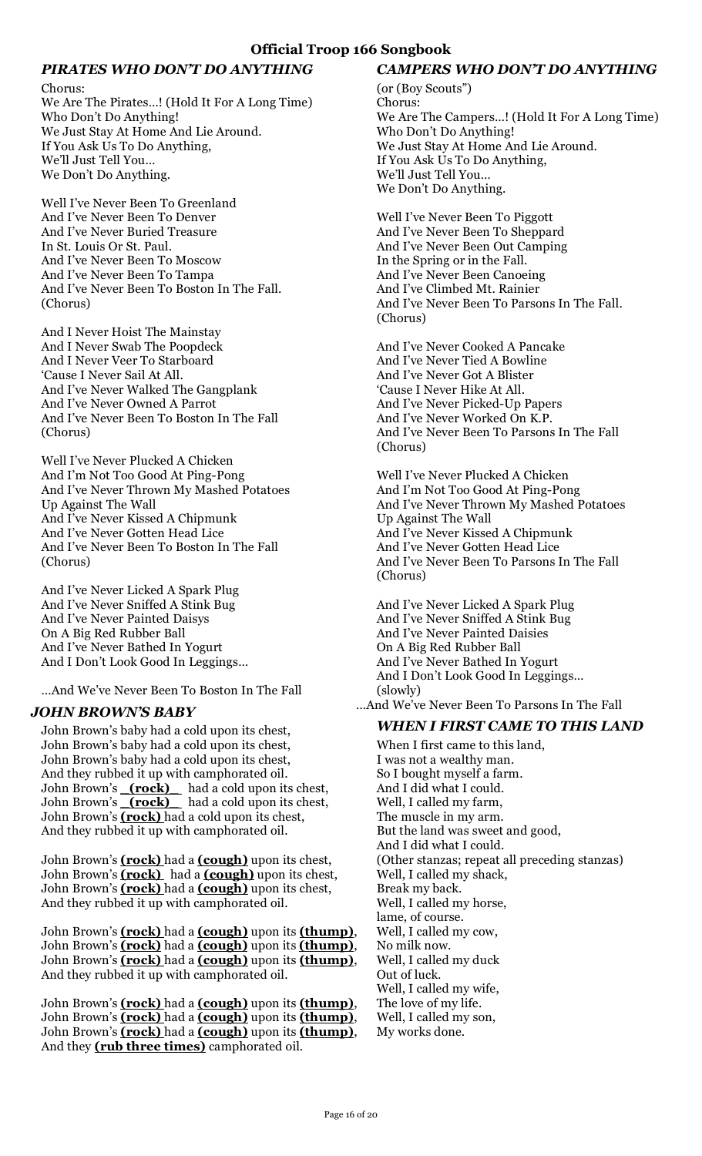# *PIRATES WHO DON'T DO ANYTHING*

Chorus: We Are The Pirates…! (Hold It For A Long Time) Who Don't Do Anything! We Just Stay At Home And Lie Around. If You Ask Us To Do Anything, We'll Just Tell You… We Don't Do Anything.

Well I've Never Been To Greenland And I've Never Been To Denver And I've Never Buried Treasure In St. Louis Or St. Paul. And I've Never Been To Moscow And I've Never Been To Tampa And I've Never Been To Boston In The Fall. (Chorus)

And I Never Hoist The Mainstay And I Never Swab The Poopdeck And I Never Veer To Starboard 'Cause I Never Sail At All. And I've Never Walked The Gangplank And I've Never Owned A Parrot And I've Never Been To Boston In The Fall (Chorus)

Well I've Never Plucked A Chicken And I'm Not Too Good At Ping-Pong And I've Never Thrown My Mashed Potatoes Up Against The Wall And I've Never Kissed A Chipmunk And I've Never Gotten Head Lice And I've Never Been To Boston In The Fall (Chorus)

And I've Never Licked A Spark Plug And I've Never Sniffed A Stink Bug And I've Never Painted Daisys On A Big Red Rubber Ball And I've Never Bathed In Yogurt And I Don't Look Good In Leggings…

…And We've Never Been To Boston In The Fall

#### *JOHN BROWN'S BABY*

John Brown's baby had a cold upon its chest, John Brown's baby had a cold upon its chest, John Brown's baby had a cold upon its chest, And they rubbed it up with camphorated oil. John Brown's **\_(rock)\_** had a cold upon its chest, John Brown's **\_(rock)\_** had a cold upon its chest, John Brown's **(rock)** had a cold upon its chest, And they rubbed it up with camphorated oil.

John Brown's **(rock)** had a **(cough)** upon its chest, John Brown's **(rock)** had a **(cough)** upon its chest, John Brown's **(rock)** had a **(cough)** upon its chest, And they rubbed it up with camphorated oil.

John Brown's **(rock)** had a **(cough)** upon its **(thump)**, John Brown's **(rock)** had a **(cough)** upon its **(thump)**, John Brown's **(rock)** had a **(cough)** upon its **(thump)**, And they rubbed it up with camphorated oil.

John Brown's **(rock)** had a **(cough)** upon its **(thump)**, John Brown's **(rock)** had a **(cough)** upon its **(thump)**, John Brown's **(rock)** had a **(cough)** upon its **(thump)**, And they **(rub three times)** camphorated oil.

## *CAMPERS WHO DON'T DO ANYTHING*

(or (Boy Scouts") Chorus: We Are The Campers…! (Hold It For A Long Time) Who Don't Do Anything! We Just Stay At Home And Lie Around. If You Ask Us To Do Anything, We'll Just Tell You… We Don't Do Anything.

Well I've Never Been To Piggott And I've Never Been To Sheppard And I've Never Been Out Camping In the Spring or in the Fall. And I've Never Been Canoeing And I've Climbed Mt. Rainier And I've Never Been To Parsons In The Fall. (Chorus)

And I've Never Cooked A Pancake And I've Never Tied A Bowline And I've Never Got A Blister 'Cause I Never Hike At All. And I've Never Picked-Up Papers And I've Never Worked On K.P. And I've Never Been To Parsons In The Fall (Chorus)

Well I've Never Plucked A Chicken And I'm Not Too Good At Ping-Pong And I've Never Thrown My Mashed Potatoes Up Against The Wall And I've Never Kissed A Chipmunk And I've Never Gotten Head Lice And I've Never Been To Parsons In The Fall (Chorus)

And I've Never Licked A Spark Plug And I've Never Sniffed A Stink Bug And I've Never Painted Daisies On A Big Red Rubber Ball And I've Never Bathed In Yogurt And I Don't Look Good In Leggings… (slowly)

…And We've Never Been To Parsons In The Fall

## *WHEN I FIRST CAME TO THIS LAND*

When I first came to this land, I was not a wealthy man. So I bought myself a farm. And I did what I could. Well, I called my farm, The muscle in my arm. But the land was sweet and good, And I did what I could. (Other stanzas; repeat all preceding stanzas) Well, I called my shack, Break my back. Well, I called my horse, lame, of course. Well, I called my cow, No milk now. Well, I called my duck Out of luck. Well, I called my wife, The love of my life. Well, I called my son, My works done.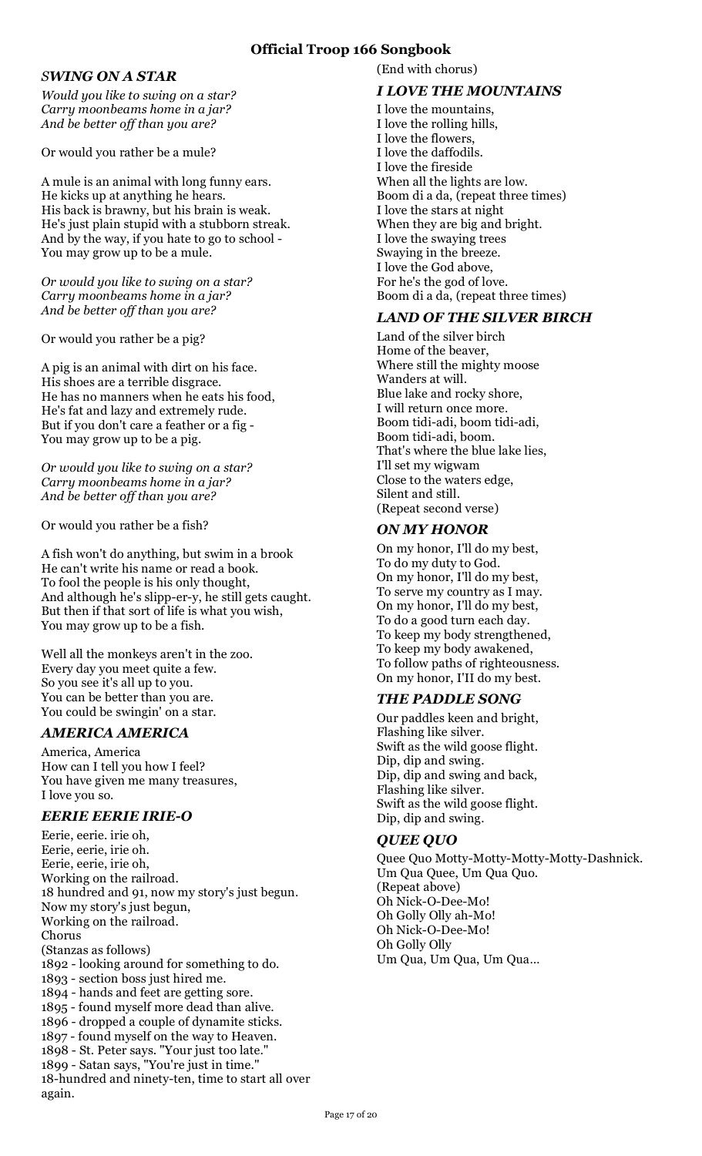#### *SWING ON A STAR*

*Would you like to swing on a star? Carry moonbeams home in a jar? And be better off than you are?*

Or would you rather be a mule?

A mule is an animal with long funny ears. He kicks up at anything he hears. His back is brawny, but his brain is weak. He's just plain stupid with a stubborn streak. And by the way, if you hate to go to school - You may grow up to be a mule.

*Or would you like to swing on a star? Carry moonbeams home in a jar? And be better off than you are?*

Or would you rather be a pig?

A pig is an animal with dirt on his face. His shoes are a terrible disgrace. He has no manners when he eats his food, He's fat and lazy and extremely rude. But if you don't care a feather or a fig - You may grow up to be a pig.

*Or would you like to swing on a star? Carry moonbeams home in a jar? And be better off than you are?*

Or would you rather be a fish?

A fish won't do anything, but swim in a brook He can't write his name or read a book. To fool the people is his only thought, And although he's slipp-er-y, he still gets caught. But then if that sort of life is what you wish, You may grow up to be a fish.

Well all the monkeys aren't in the zoo. Every day you meet quite a few. So you see it's all up to you. You can be better than you are. You could be swingin' on a star.

#### *AMERICA AMERICA*

America, America How can I tell you how I feel? You have given me many treasures, I love you so.

#### *EERIE EERIE IRIE-O*

Eerie, eerie. irie oh, Eerie, eerie, irie oh. Eerie, eerie, irie oh, Working on the railroad. 18 hundred and 91, now my story's just begun. Now my story's just begun, Working on the railroad. Chorus (Stanzas as follows) 1892 - looking around for something to do. 1893 - section boss just hired me. 1894 - hands and feet are getting sore. 1895 - found myself more dead than alive. 1896 - dropped a couple of dynamite sticks. 1897 - found myself on the way to Heaven. 1898 - St. Peter says. "Your just too late." 1899 - Satan says, "You're just in time." 18-hundred and ninety-ten, time to start all over again.

# (End with chorus)

## *I LOVE THE MOUNTAINS*

I love the mountains, I love the rolling hills, I love the flowers, I love the daffodils. I love the fireside When all the lights are low. Boom di a da, (repeat three times) I love the stars at night When they are big and bright. I love the swaying trees Swaying in the breeze. I love the God above, For he's the god of love. Boom di a da, (repeat three times)

#### *LAND OF THE SILVER BIRCH*

Land of the silver birch Home of the beaver, Where still the mighty moose Wanders at will. Blue lake and rocky shore, I will return once more. Boom tidi-adi, boom tidi-adi, Boom tidi-adi, boom. That's where the blue lake lies, I'll set my wigwam Close to the waters edge, Silent and still. (Repeat second verse)

#### *ON MY HONOR*

On my honor, I'll do my best, To do my duty to God. On my honor, I'll do my best, To serve my country as I may. On my honor, I'll do my best, To do a good turn each day. To keep my body strengthened, To keep my body awakened, To follow paths of righteousness. On my honor, I'II do my best.

#### *THE PADDLE SONG*

Our paddles keen and bright, Flashing like silver. Swift as the wild goose flight. Dip, dip and swing. Dip, dip and swing and back, Flashing like silver. Swift as the wild goose flight. Dip, dip and swing.

#### *QUEE QUO*

Quee Quo Motty-Motty-Motty-Motty-Dashnick. Um Qua Quee, Um Qua Quo. (Repeat above) Oh Nick-O-Dee-Mo! Oh Golly Olly ah-Mo! Oh Nick-O-Dee-Mo! Oh Golly Olly Um Qua, Um Qua, Um Qua…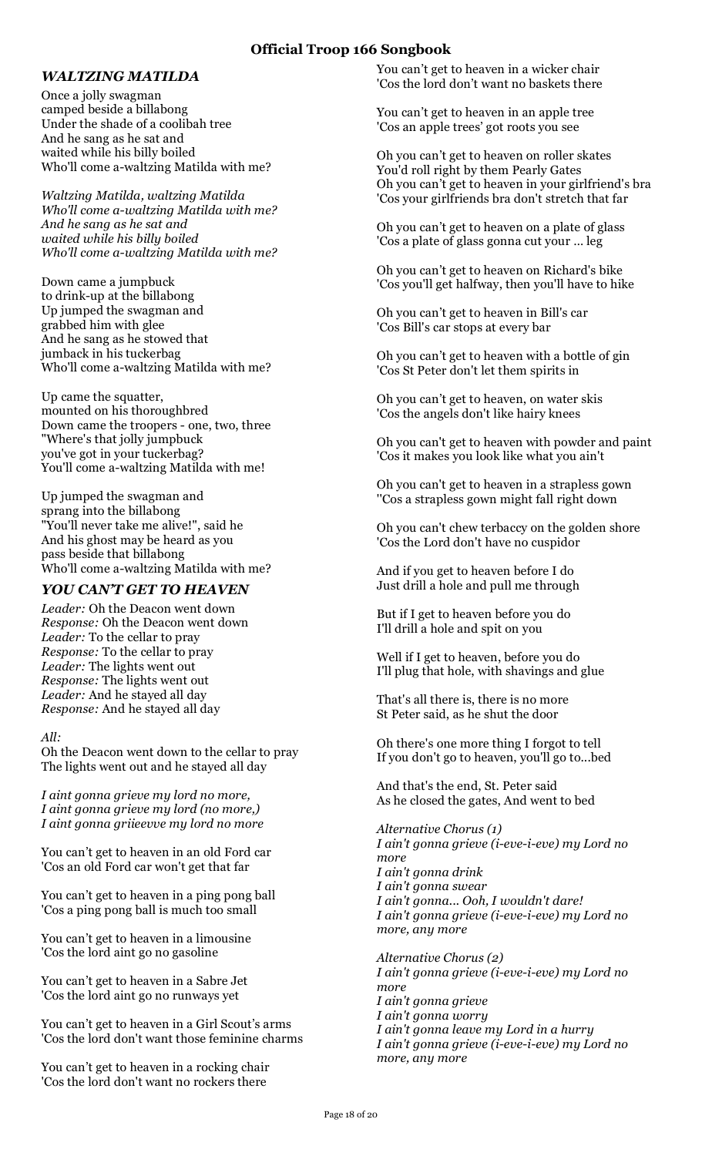#### *WALTZING MATILDA*

Once a jolly swagman camped beside a billabong Under the shade of a coolibah tree And he sang as he sat and waited while his billy boiled Who'll come a-waltzing Matilda with me?

*Waltzing Matilda, waltzing Matilda Who'll come a-waltzing Matilda with me? And he sang as he sat and waited while his billy boiled Who'll come a-waltzing Matilda with me?*

Down came a jumpbuck to drink-up at the billabong Up jumped the swagman and grabbed him with glee And he sang as he stowed that jumback in his tuckerbag Who'll come a-waltzing Matilda with me?

Up came the squatter, mounted on his thoroughbred Down came the troopers - one, two, three "Where's that jolly jumpbuck you've got in your tuckerbag? You'll come a-waltzing Matilda with me!

Up jumped the swagman and sprang into the billabong "You'll never take me alive!", said he And his ghost may be heard as you pass beside that billabong Who'll come a-waltzing Matilda with me?

#### *YOU CAN'T GET TO HEAVEN*

*Leader:* Oh the Deacon went down *Response:* Oh the Deacon went down *Leader:* To the cellar to pray *Response:* To the cellar to pray *Leader:* The lights went out *Response:* The lights went out *Leader:* And he stayed all day *Response:* And he stayed all day

#### *All:*

Oh the Deacon went down to the cellar to pray The lights went out and he stayed all day

*I aint gonna grieve my lord no more, I aint gonna grieve my lord (no more,) I aint gonna griieevve my lord no more*

You can't get to heaven in an old Ford car 'Cos an old Ford car won't get that far

You can't get to heaven in a ping pong ball 'Cos a ping pong ball is much too small

You can't get to heaven in a limousine 'Cos the lord aint go no gasoline

You can't get to heaven in a Sabre Jet 'Cos the lord aint go no runways yet

You can't get to heaven in a Girl Scout's arms 'Cos the lord don't want those feminine charms

You can't get to heaven in a rocking chair 'Cos the lord don't want no rockers there

You can't get to heaven in a wicker chair 'Cos the lord don't want no baskets there

You can't get to heaven in an apple tree 'Cos an apple trees' got roots you see

Oh you can't get to heaven on roller skates You'd roll right by them Pearly Gates Oh you can't get to heaven in your girlfriend's bra 'Cos your girlfriends bra don't stretch that far

Oh you can't get to heaven on a plate of glass 'Cos a plate of glass gonna cut your … leg

Oh you can't get to heaven on Richard's bike 'Cos you'll get halfway, then you'll have to hike

Oh you can't get to heaven in Bill's car 'Cos Bill's car stops at every bar

Oh you can't get to heaven with a bottle of gin 'Cos St Peter don't let them spirits in

Oh you can't get to heaven, on water skis 'Cos the angels don't like hairy knees

Oh you can't get to heaven with powder and paint 'Cos it makes you look like what you ain't

Oh you can't get to heaven in a strapless gown ''Cos a strapless gown might fall right down

Oh you can't chew terbaccy on the golden shore 'Cos the Lord don't have no cuspidor

And if you get to heaven before I do Just drill a hole and pull me through

But if I get to heaven before you do I'll drill a hole and spit on you

Well if I get to heaven, before you do I'll plug that hole, with shavings and glue

That's all there is, there is no more St Peter said, as he shut the door

Oh there's one more thing I forgot to tell If you don't go to heaven, you'll go to...bed

And that's the end, St. Peter said As he closed the gates, And went to bed

*Alternative Chorus (1) I ain't gonna grieve (i-eve-i-eve) my Lord no more I ain't gonna drink I ain't gonna swear I ain't gonna... Ooh, I wouldn't dare! I ain't gonna grieve (i-eve-i-eve) my Lord no more, any more*

*Alternative Chorus (2) I ain't gonna grieve (i-eve-i-eve) my Lord no more I ain't gonna grieve I ain't gonna worry I ain't gonna leave my Lord in a hurry I ain't gonna grieve (i-eve-i-eve) my Lord no more, any more*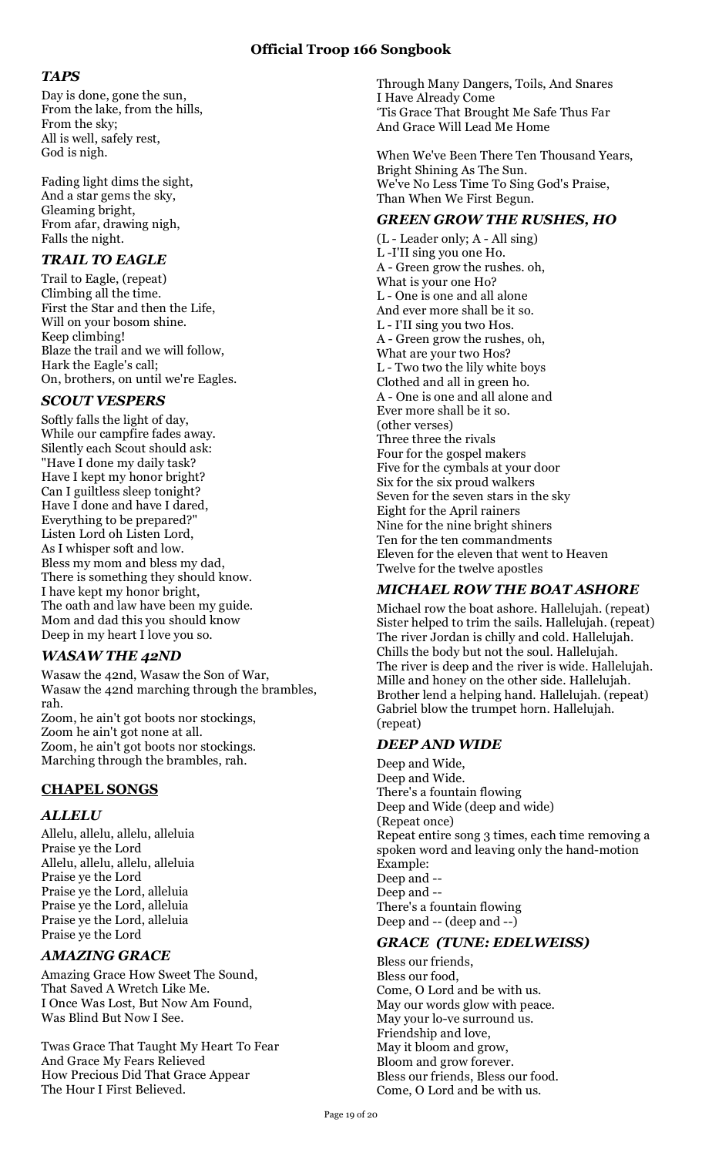#### *TAPS*

Day is done, gone the sun, From the lake, from the hills, From the sky; All is well, safely rest, God is nigh.

Fading light dims the sight, And a star gems the sky, Gleaming bright, From afar, drawing nigh, Falls the night.

#### *TRAIL TO EAGLE*

Trail to Eagle, (repeat) Climbing all the time. First the Star and then the Life, Will on your bosom shine. Keep climbing! Blaze the trail and we will follow, Hark the Eagle's call; On, brothers, on until we're Eagles.

#### *SCOUT VESPERS*

Softly falls the light of day, While our campfire fades away. Silently each Scout should ask: "Have I done my daily task? Have I kept my honor bright? Can I guiltless sleep tonight? Have I done and have I dared, Everything to be prepared?" Listen Lord oh Listen Lord, As I whisper soft and low. Bless my mom and bless my dad, There is something they should know. I have kept my honor bright, The oath and law have been my guide. Mom and dad this you should know Deep in my heart I love you so.

## *WASAW THE 42ND*

Wasaw the 42nd, Wasaw the Son of War, Wasaw the 42nd marching through the brambles, rah. Zoom, he ain't got boots nor stockings, Zoom he ain't got none at all. Zoom, he ain't got boots nor stockings. Marching through the brambles, rah.

#### **CHAPEL SONGS**

#### *ALLELU*

Allelu, allelu, allelu, alleluia Praise ye the Lord Allelu, allelu, allelu, alleluia Praise ye the Lord Praise ye the Lord, alleluia Praise ye the Lord, alleluia Praise ye the Lord, alleluia Praise ye the Lord

#### *AMAZING GRACE*

Amazing Grace How Sweet The Sound, That Saved A Wretch Like Me. I Once Was Lost, But Now Am Found, Was Blind But Now I See.

Twas Grace That Taught My Heart To Fear And Grace My Fears Relieved How Precious Did That Grace Appear The Hour I First Believed.

Through Many Dangers, Toils, And Snares I Have Already Come 'Tis Grace That Brought Me Safe Thus Far And Grace Will Lead Me Home

When We've Been There Ten Thousand Years, Bright Shining As The Sun. We've No Less Time To Sing God's Praise, Than When We First Begun.

## *GREEN GROW THE RUSHES, HO*

(L - Leader only; A - All sing) L -I'II sing you one Ho. A - Green grow the rushes. oh, What is your one Ho? L - One is one and all alone And ever more shall be it so. L - I'II sing you two Hos. A - Green grow the rushes, oh, What are your two Hos? L - Two two the lily white boys Clothed and all in green ho. A - One is one and all alone and Ever more shall be it so. (other verses) Three three the rivals Four for the gospel makers Five for the cymbals at your door Six for the six proud walkers Seven for the seven stars in the sky Eight for the April rainers Nine for the nine bright shiners Ten for the ten commandments Eleven for the eleven that went to Heaven Twelve for the twelve apostles

#### *MICHAEL ROW THE BOAT ASHORE*

Michael row the boat ashore. Hallelujah. (repeat) Sister helped to trim the sails. Hallelujah. (repeat) The river Jordan is chilly and cold. Hallelujah. Chills the body but not the soul. Hallelujah. The river is deep and the river is wide. Hallelujah. Mille and honey on the other side. Hallelujah. Brother lend a helping hand. Hallelujah. (repeat) Gabriel blow the trumpet horn. Hallelujah. (repeat)

#### *DEEP AND WIDE*

Deep and Wide, Deep and Wide. There's a fountain flowing Deep and Wide (deep and wide) (Repeat once) Repeat entire song 3 times, each time removing a spoken word and leaving only the hand-motion Example: Deep and -- Deep and -- There's a fountain flowing Deep and -- (deep and --)

#### *GRACE (TUNE: EDELWEISS)*

Bless our friends, Bless our food, Come, O Lord and be with us. May our words glow with peace. May your lo-ve surround us. Friendship and love, May it bloom and grow, Bloom and grow forever. Bless our friends, Bless our food. Come, O Lord and be with us.